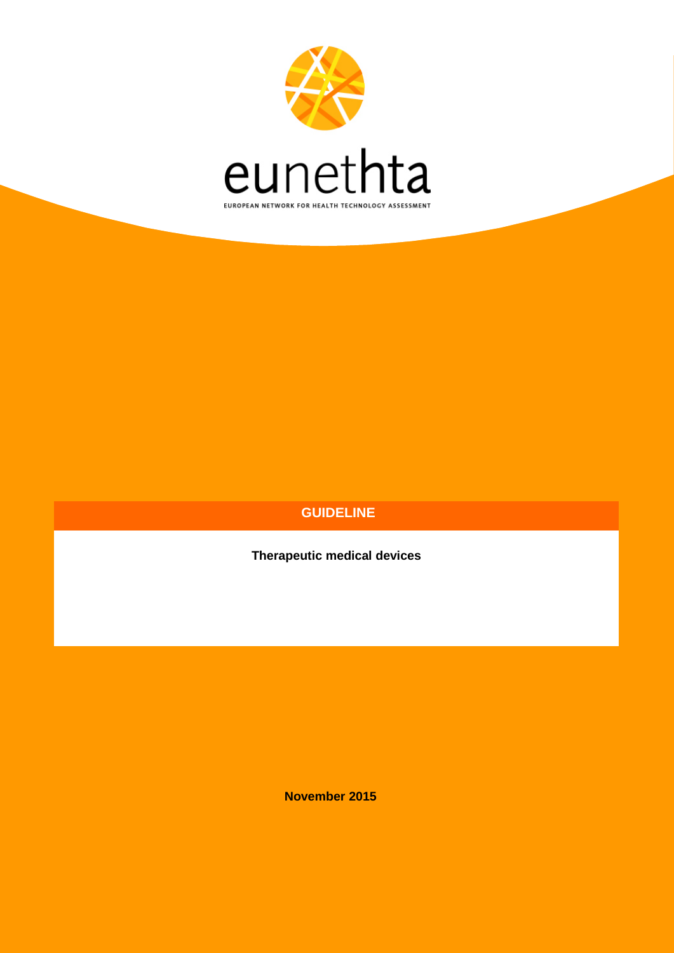

# **GUIDELINE**

**Therapeutic medical devices**

**November 2015**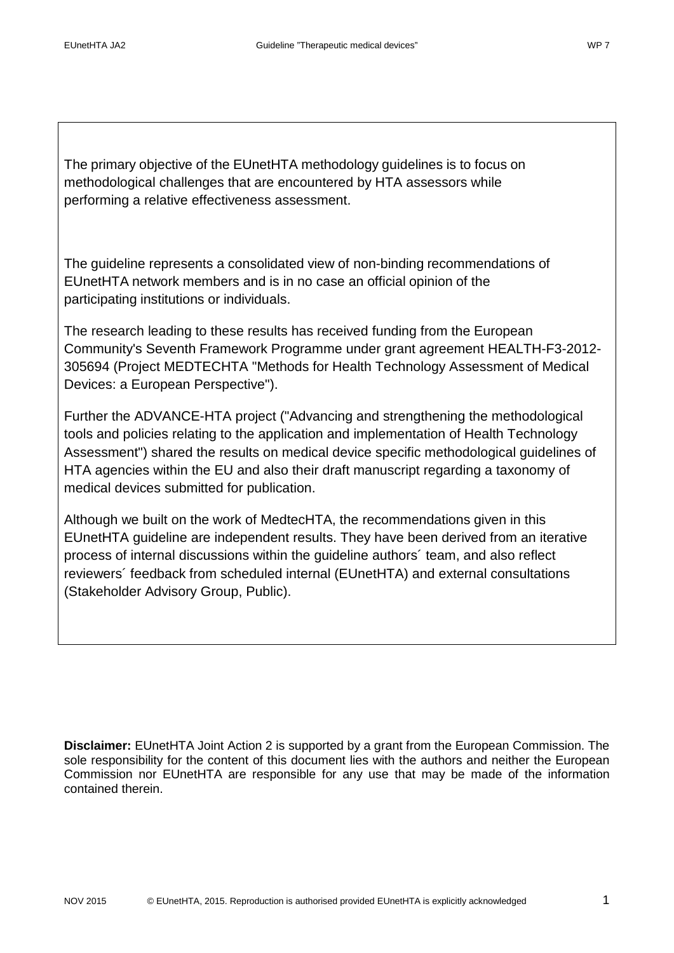The primary objective of the EUnetHTA methodology guidelines is to focus on methodological challenges that are encountered by HTA assessors while performing a relative effectiveness assessment.

The guideline represents a consolidated view of non-binding recommendations of EUnetHTA network members and is in no case an official opinion of the participating institutions or individuals.

The research leading to these results has received funding from the European Community's Seventh Framework Programme under grant agreement HEALTH-F3-2012- 305694 (Project MEDTECHTA "Methods for Health Technology Assessment of Medical Devices: a European Perspective").

Further the ADVANCE-HTA project ("Advancing and strengthening the methodological tools and policies relating to the application and implementation of Health Technology Assessment") shared the results on medical device specific methodological guidelines of HTA agencies within the EU and also their draft manuscript regarding a taxonomy of medical devices submitted for publication.

Although we built on the work of MedtecHTA, the recommendations given in this EUnetHTA guideline are independent results. They have been derived from an iterative process of internal discussions within the guideline authors´ team, and also reflect reviewers´ feedback from scheduled internal (EUnetHTA) and external consultations (Stakeholder Advisory Group, Public).

**Disclaimer:** EUnetHTA Joint Action 2 is supported by a grant from the European Commission. The sole responsibility for the content of this document lies with the authors and neither the European Commission nor EUnetHTA are responsible for any use that may be made of the information contained therein.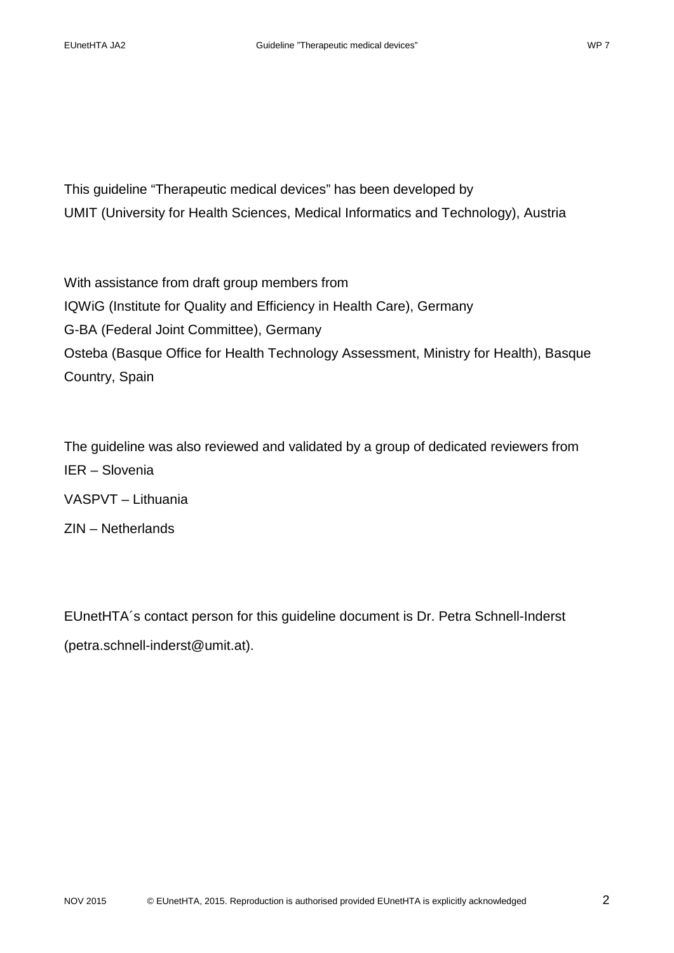This guideline "Therapeutic medical devices" has been developed by UMIT (University for Health Sciences, Medical Informatics and Technology), Austria

With assistance from draft group members from IQWiG (Institute for Quality and Efficiency in Health Care), Germany G-BA (Federal Joint Committee), Germany Osteba (Basque Office for Health Technology Assessment, Ministry for Health), Basque Country, Spain

The guideline was also reviewed and validated by a group of dedicated reviewers from IER – Slovenia VASPVT – Lithuania ZIN – Netherlands

EUnetHTA´s contact person for this guideline document is Dr. Petra Schnell-Inderst [\(petra.schnell-inderst@umit.at\)](mailto:petra.schnell-inderst@umit.at).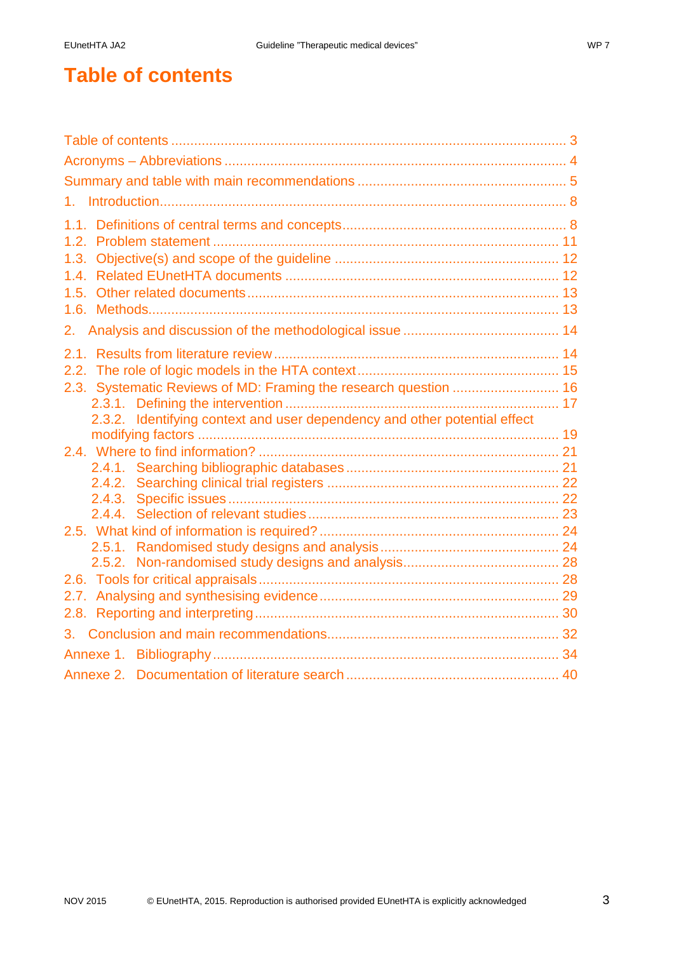# <span id="page-3-0"></span>**Table of contents**

| 1 <sub>1</sub>                                                            |  |  |  |  |
|---------------------------------------------------------------------------|--|--|--|--|
|                                                                           |  |  |  |  |
|                                                                           |  |  |  |  |
|                                                                           |  |  |  |  |
|                                                                           |  |  |  |  |
|                                                                           |  |  |  |  |
|                                                                           |  |  |  |  |
|                                                                           |  |  |  |  |
|                                                                           |  |  |  |  |
|                                                                           |  |  |  |  |
| 2.3. Systematic Reviews of MD: Framing the research question  16          |  |  |  |  |
|                                                                           |  |  |  |  |
| 2.3.2. Identifying context and user dependency and other potential effect |  |  |  |  |
|                                                                           |  |  |  |  |
|                                                                           |  |  |  |  |
|                                                                           |  |  |  |  |
|                                                                           |  |  |  |  |
|                                                                           |  |  |  |  |
|                                                                           |  |  |  |  |
|                                                                           |  |  |  |  |
|                                                                           |  |  |  |  |
|                                                                           |  |  |  |  |
|                                                                           |  |  |  |  |
|                                                                           |  |  |  |  |
|                                                                           |  |  |  |  |
|                                                                           |  |  |  |  |
|                                                                           |  |  |  |  |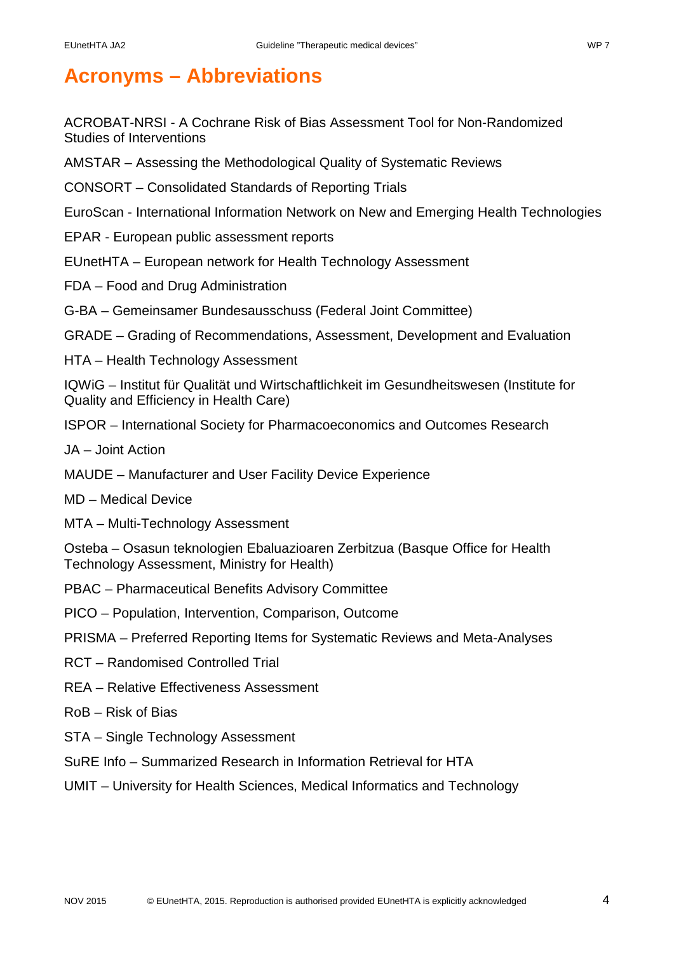# <span id="page-4-0"></span>**Acronyms – Abbreviations**

ACROBAT-NRSI - A Cochrane Risk of Bias Assessment Tool for Non-Randomized Studies of Interventions

- AMSTAR Assessing the Methodological Quality of Systematic Reviews
- CONSORT Consolidated Standards of Reporting Trials
- EuroScan International Information Network on New and Emerging Health Technologies
- EPAR European public assessment reports
- EUnetHTA European network for Health Technology Assessment
- FDA Food and Drug Administration
- G-BA Gemeinsamer Bundesausschuss (Federal Joint Committee)
- GRADE Grading of Recommendations, Assessment, Development and Evaluation
- HTA Health Technology Assessment

IQWiG – Institut für Qualität und Wirtschaftlichkeit im Gesundheitswesen (Institute for Quality and Efficiency in Health Care)

- ISPOR International Society for Pharmacoeconomics and Outcomes Research
- JA Joint Action
- MAUDE Manufacturer and User Facility Device Experience
- MD Medical Device
- MTA Multi-Technology Assessment

Osteba – Osasun teknologien Ebaluazioaren Zerbitzua (Basque Office for Health Technology Assessment, Ministry for Health)

- PBAC Pharmaceutical Benefits Advisory Committee
- PICO Population, Intervention, Comparison, Outcome
- PRISMA Preferred Reporting Items for Systematic Reviews and Meta-Analyses
- RCT Randomised Controlled Trial
- REA Relative Effectiveness Assessment
- RoB Risk of Bias
- STA Single Technology Assessment
- SuRE Info Summarized Research in Information Retrieval for HTA
- UMIT University for Health Sciences, Medical Informatics and Technology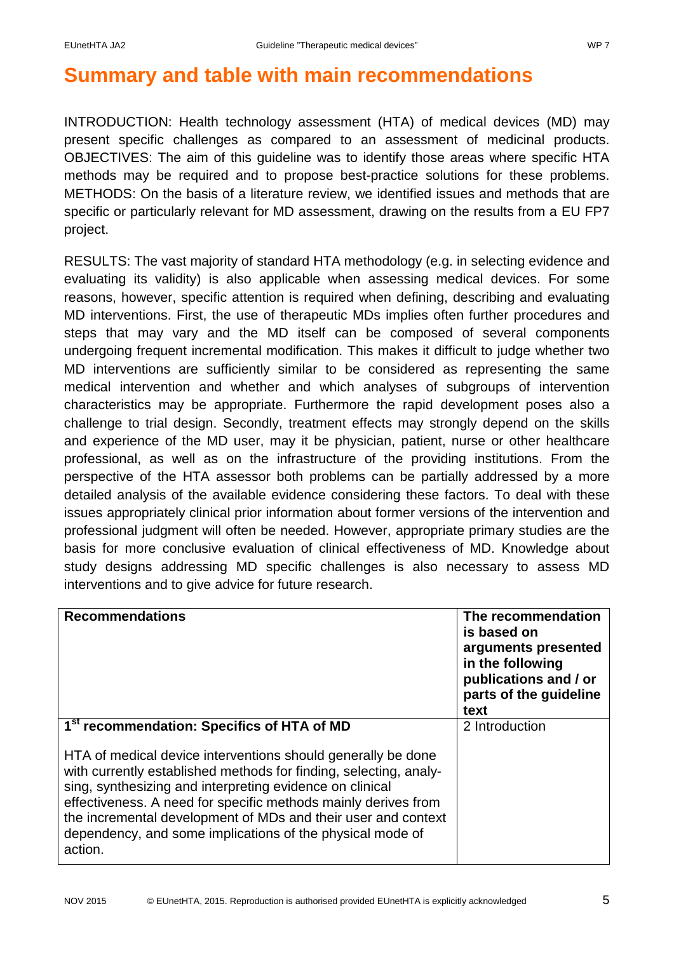# <span id="page-5-0"></span>**Summary and table with main recommendations**

INTRODUCTION: Health technology assessment (HTA) of medical devices (MD) may present specific challenges as compared to an assessment of medicinal products. OBJECTIVES: The aim of this guideline was to identify those areas where specific HTA methods may be required and to propose best-practice solutions for these problems. METHODS: On the basis of a literature review, we identified issues and methods that are specific or particularly relevant for MD assessment, drawing on the results from a EU FP7 project.

RESULTS: The vast majority of standard HTA methodology (e.g. in selecting evidence and evaluating its validity) is also applicable when assessing medical devices. For some reasons, however, specific attention is required when defining, describing and evaluating MD interventions. First, the use of therapeutic MDs implies often further procedures and steps that may vary and the MD itself can be composed of several components undergoing frequent incremental modification. This makes it difficult to judge whether two MD interventions are sufficiently similar to be considered as representing the same medical intervention and whether and which analyses of subgroups of intervention characteristics may be appropriate. Furthermore the rapid development poses also a challenge to trial design. Secondly, treatment effects may strongly depend on the skills and experience of the MD user, may it be physician, patient, nurse or other healthcare professional, as well as on the infrastructure of the providing institutions. From the perspective of the HTA assessor both problems can be partially addressed by a more detailed analysis of the available evidence considering these factors. To deal with these issues appropriately clinical prior information about former versions of the intervention and professional judgment will often be needed. However, appropriate primary studies are the basis for more conclusive evaluation of clinical effectiveness of MD. Knowledge about study designs addressing MD specific challenges is also necessary to assess MD interventions and to give advice for future research.

| <b>Recommendations</b>                                                                                                                                                                                                                                                                                                                                                                                   | The recommendation<br>is based on<br>arguments presented<br>in the following<br>publications and / or<br>parts of the guideline<br>text |
|----------------------------------------------------------------------------------------------------------------------------------------------------------------------------------------------------------------------------------------------------------------------------------------------------------------------------------------------------------------------------------------------------------|-----------------------------------------------------------------------------------------------------------------------------------------|
| 1 <sup>st</sup> recommendation: Specifics of HTA of MD                                                                                                                                                                                                                                                                                                                                                   | 2 Introduction                                                                                                                          |
| HTA of medical device interventions should generally be done<br>with currently established methods for finding, selecting, analy-<br>sing, synthesizing and interpreting evidence on clinical<br>effectiveness. A need for specific methods mainly derives from<br>the incremental development of MDs and their user and context<br>dependency, and some implications of the physical mode of<br>action. |                                                                                                                                         |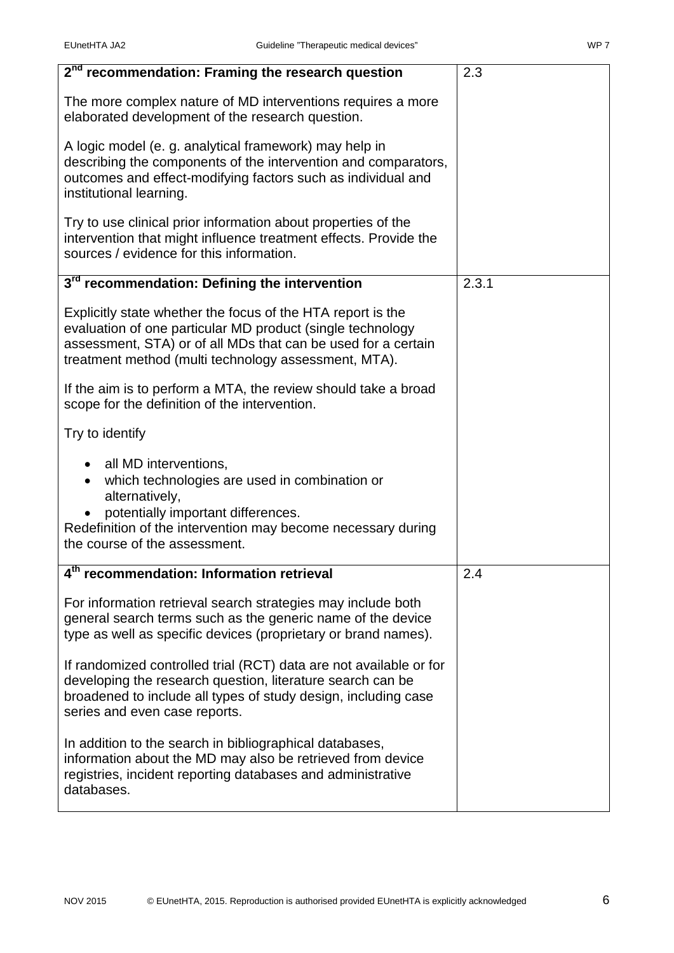| 2 <sup>nd</sup> recommendation: Framing the research question                                                                                                                                                                                      | 2.3   |
|----------------------------------------------------------------------------------------------------------------------------------------------------------------------------------------------------------------------------------------------------|-------|
| The more complex nature of MD interventions requires a more<br>elaborated development of the research question.                                                                                                                                    |       |
| A logic model (e. g. analytical framework) may help in<br>describing the components of the intervention and comparators,<br>outcomes and effect-modifying factors such as individual and<br>institutional learning.                                |       |
| Try to use clinical prior information about properties of the<br>intervention that might influence treatment effects. Provide the<br>sources / evidence for this information.                                                                      |       |
| 3 <sup>rd</sup> recommendation: Defining the intervention                                                                                                                                                                                          | 2.3.1 |
| Explicitly state whether the focus of the HTA report is the<br>evaluation of one particular MD product (single technology<br>assessment, STA) or of all MDs that can be used for a certain<br>treatment method (multi technology assessment, MTA). |       |
| If the aim is to perform a MTA, the review should take a broad<br>scope for the definition of the intervention.                                                                                                                                    |       |
| Try to identify                                                                                                                                                                                                                                    |       |
| all MD interventions,<br>which technologies are used in combination or<br>alternatively,<br>potentially important differences.<br>Redefinition of the intervention may become necessary during<br>the course of the assessment.                    |       |
| 4 <sup>th</sup> recommendation: Information retrieval                                                                                                                                                                                              | 2.4   |
| For information retrieval search strategies may include both<br>general search terms such as the generic name of the device<br>type as well as specific devices (proprietary or brand names).                                                      |       |
| If randomized controlled trial (RCT) data are not available or for<br>developing the research question, literature search can be<br>broadened to include all types of study design, including case<br>series and even case reports.                |       |
| In addition to the search in bibliographical databases,<br>information about the MD may also be retrieved from device<br>registries, incident reporting databases and administrative<br>databases.                                                 |       |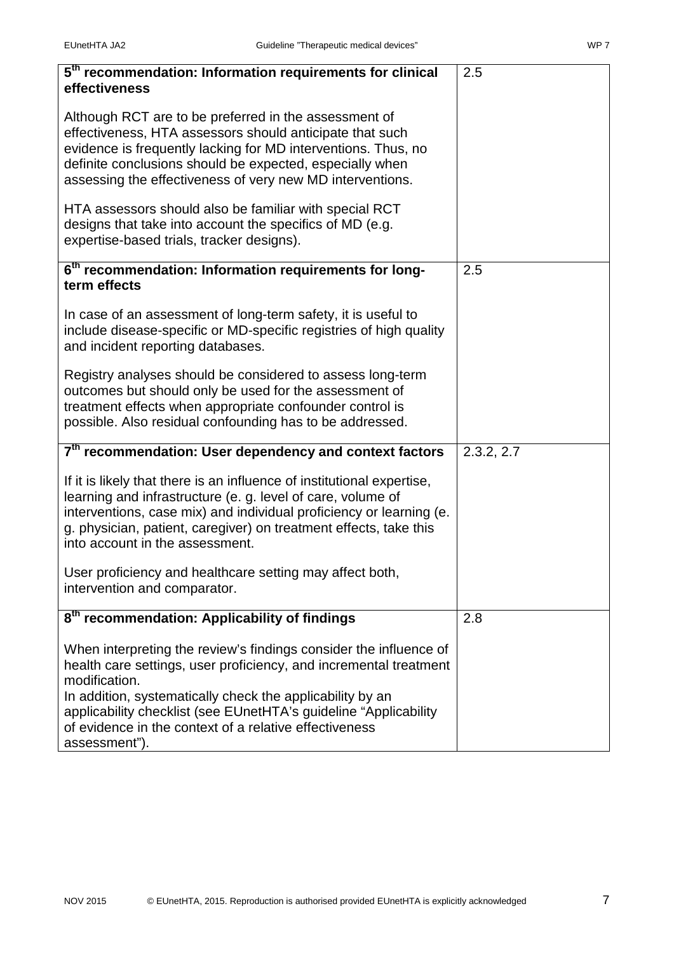| 5 <sup>th</sup> recommendation: Information requirements for clinical<br>effectiveness                                                                                                                                                                                                                                                                              | 2.5        |
|---------------------------------------------------------------------------------------------------------------------------------------------------------------------------------------------------------------------------------------------------------------------------------------------------------------------------------------------------------------------|------------|
| Although RCT are to be preferred in the assessment of<br>effectiveness, HTA assessors should anticipate that such<br>evidence is frequently lacking for MD interventions. Thus, no<br>definite conclusions should be expected, especially when<br>assessing the effectiveness of very new MD interventions.                                                         |            |
| HTA assessors should also be familiar with special RCT<br>designs that take into account the specifics of MD (e.g.<br>expertise-based trials, tracker designs).                                                                                                                                                                                                     |            |
| 6 <sup>th</sup> recommendation: Information requirements for long-<br>term effects                                                                                                                                                                                                                                                                                  | 2.5        |
| In case of an assessment of long-term safety, it is useful to<br>include disease-specific or MD-specific registries of high quality<br>and incident reporting databases.                                                                                                                                                                                            |            |
| Registry analyses should be considered to assess long-term<br>outcomes but should only be used for the assessment of<br>treatment effects when appropriate confounder control is<br>possible. Also residual confounding has to be addressed.                                                                                                                        |            |
| 7 <sup>th</sup> recommendation: User dependency and context factors                                                                                                                                                                                                                                                                                                 | 2.3.2, 2.7 |
| If it is likely that there is an influence of institutional expertise,<br>learning and infrastructure (e. g. level of care, volume of<br>interventions, case mix) and individual proficiency or learning (e.<br>g. physician, patient, caregiver) on treatment effects, take this<br>into account in the assessment.                                                |            |
| User proficiency and healthcare setting may affect both,<br>intervention and comparator.                                                                                                                                                                                                                                                                            |            |
| 8 <sup>th</sup> recommendation: Applicability of findings                                                                                                                                                                                                                                                                                                           | 2.8        |
| When interpreting the review's findings consider the influence of<br>health care settings, user proficiency, and incremental treatment<br>modification.<br>In addition, systematically check the applicability by an<br>applicability checklist (see EUnetHTA's guideline "Applicability<br>of evidence in the context of a relative effectiveness<br>assessment"). |            |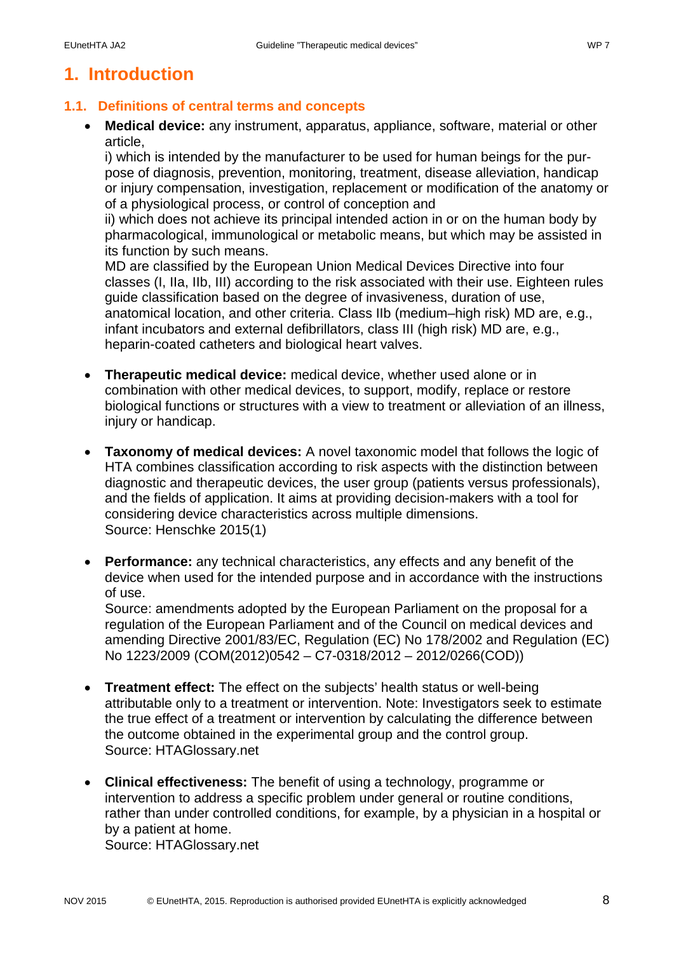# <span id="page-8-0"></span>**1. Introduction**

## <span id="page-8-1"></span>**1.1. Definitions of central terms and concepts**

• **Medical device:** any instrument, apparatus, appliance, software, material or other article,

i) which is intended by the manufacturer to be used for human beings for the purpose of diagnosis, prevention, monitoring, treatment, disease alleviation, handicap or injury compensation, investigation, replacement or modification of the anatomy or of a physiological process, or control of conception and

ii) which does not achieve its principal intended action in or on the human body by pharmacological, immunological or metabolic means, but which may be assisted in its function by such means.

MD are classified by the European Union Medical Devices Directive into four classes (I, IIa, IIb, III) according to the risk associated with their use. Eighteen rules guide classification based on the degree of invasiveness, duration of use, anatomical location, and other criteria. Class IIb (medium–high risk) MD are, e.g., infant incubators and external defibrillators, class III (high risk) MD are, e.g., heparin-coated catheters and biological heart valves.

- **Therapeutic medical device:** medical device, whether used alone or in combination with other medical devices, to support, modify, replace or restore biological functions or structures with a view to treatment or alleviation of an illness, injury or handicap.
- **Taxonomy of medical devices:** A novel taxonomic model that follows the logic of HTA combines classification according to risk aspects with the distinction between diagnostic and therapeutic devices, the user group (patients versus professionals), and the fields of application. It aims at providing decision-makers with a tool for considering device characteristics across multiple dimensions. Source: Henschke 2015(1)
- **Performance:** any technical characteristics, any effects and any benefit of the device when used for the intended purpose and in accordance with the instructions of use.

Source: amendments adopted by the European Parliament on the proposal for a regulation of the European Parliament and of the Council on medical devices and amending Directive 2001/83/EC, Regulation (EC) No 178/2002 and Regulation (EC) No 1223/2009 [\(COM\(2012\)0542](http://ec.europa.eu/prelex/liste_resultats.cfm?CL=en&ReqId=0&DocType=COM&DocYear=2012&DocNum=0542) – C7-0318/2012 – [2012/0266\(COD\)\)](http://www.europarl.europa.eu/oeil/popups/ficheprocedure.do?lang=en&reference=2012/0266%28COD%29)

- **Treatment effect:** The effect on the subjects' health status or well-being attributable only to a treatment or intervention. Note: Investigators seek to estimate the true effect of a treatment or intervention by calculating the difference between the outcome obtained in the experimental group and the control group. Source: HTAGlossary.net
- **Clinical effectiveness:** The benefit of using a technology, programme or intervention to address a specific problem under general or routine conditions, rather than under controlled conditions, for example, by a physician in a hospital or by a patient at home. Source: HTAGlossary.net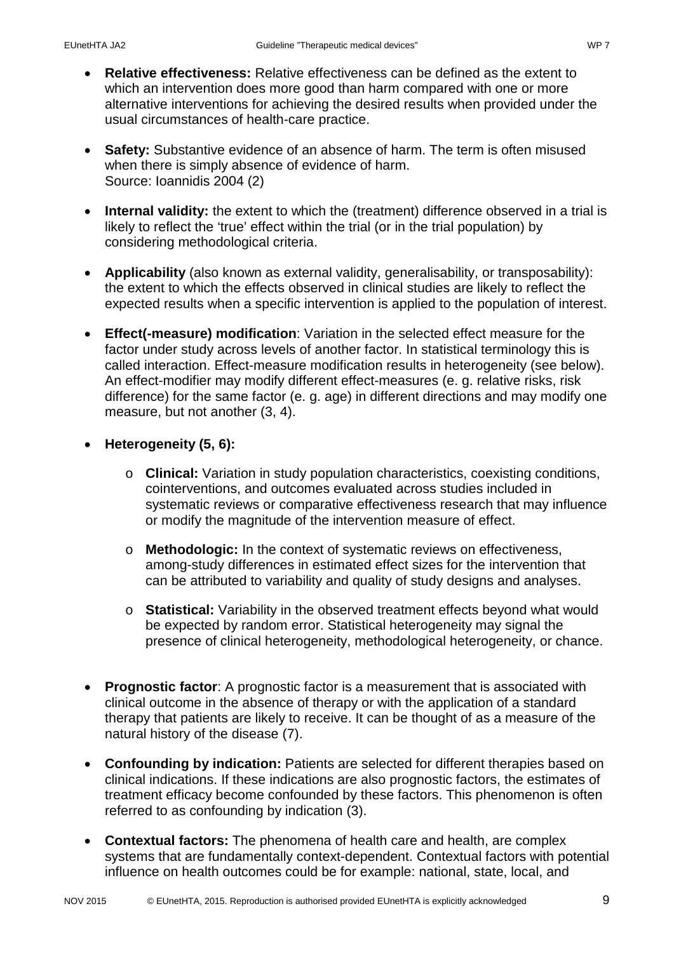- **Relative effectiveness:** Relative effectiveness can be defined as the extent to which an intervention does more good than harm compared with one or more alternative interventions for achieving the desired results when provided under the usual circumstances of health-care practice.
- **Safety:** Substantive evidence of an absence of harm. The term is often misused when there is simply absence of evidence of harm. Source: Ioannidis 2004 (2)
- **Internal validity:** the extent to which the (treatment) difference observed in a trial is likely to reflect the 'true' effect within the trial (or in the trial population) by considering methodological criteria.
- **Applicability** (also known as external validity, generalisability, or transposability): the extent to which the effects observed in clinical studies are likely to reflect the expected results when a specific intervention is applied to the population of interest.
- **Effect(-measure) modification**: Variation in the selected effect measure for the factor under study across levels of another factor. In statistical terminology this is called interaction. Effect-measure modification results in heterogeneity (see below). An effect-modifier may modify different effect-measures (e. g. relative risks, risk difference) for the same factor (e. g. age) in different directions and may modify one measure, but not another (3, 4).
- **Heterogeneity (5, 6):**
	- o **Clinical:** Variation in study population characteristics, coexisting conditions, cointerventions, and outcomes evaluated across studies included in systematic reviews or comparative effectiveness research that may influence or modify the magnitude of the intervention measure of effect.
	- o **Methodologic:** In the context of systematic reviews on effectiveness, among-study differences in estimated effect sizes for the intervention that can be attributed to variability and quality of study designs and analyses.
	- o **Statistical:** Variability in the observed treatment effects beyond what would be expected by random error. Statistical heterogeneity may signal the presence of clinical heterogeneity, methodological heterogeneity, or chance.
- **Prognostic factor**: A prognostic factor is a measurement that is associated with clinical outcome in the absence of therapy or with the application of a standard therapy that patients are likely to receive. It can be thought of as a measure of the natural history of the disease (7).
- **Confounding by indication:** Patients are selected for different therapies based on clinical indications. If these indications are also prognostic factors, the estimates of treatment efficacy become confounded by these factors. This phenomenon is often referred to as confounding by indication (3).
- **Contextual factors:** The phenomena of health care and health, are complex systems that are fundamentally context-dependent. Contextual factors with potential influence on health outcomes could be for example: national, state, local, and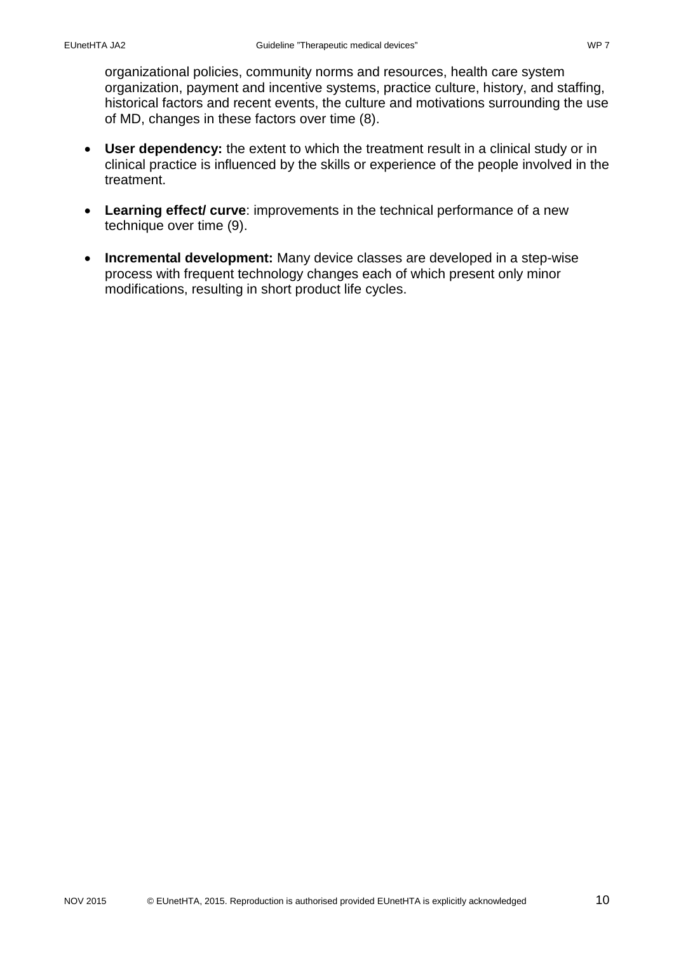organizational policies, community norms and resources, health care system organization, payment and incentive systems, practice culture, history, and staffing, historical factors and recent events, the culture and motivations surrounding the use of MD, changes in these factors over time (8).

- **User dependency:** the extent to which the treatment result in a clinical study or in clinical practice is influenced by the skills or experience of the people involved in the treatment.
- **Learning effect/ curve**: improvements in the technical performance of a new technique over time (9).
- **Incremental development:** Many device classes are developed in a step-wise process with frequent technology changes each of which present only minor modifications, resulting in short product life cycles.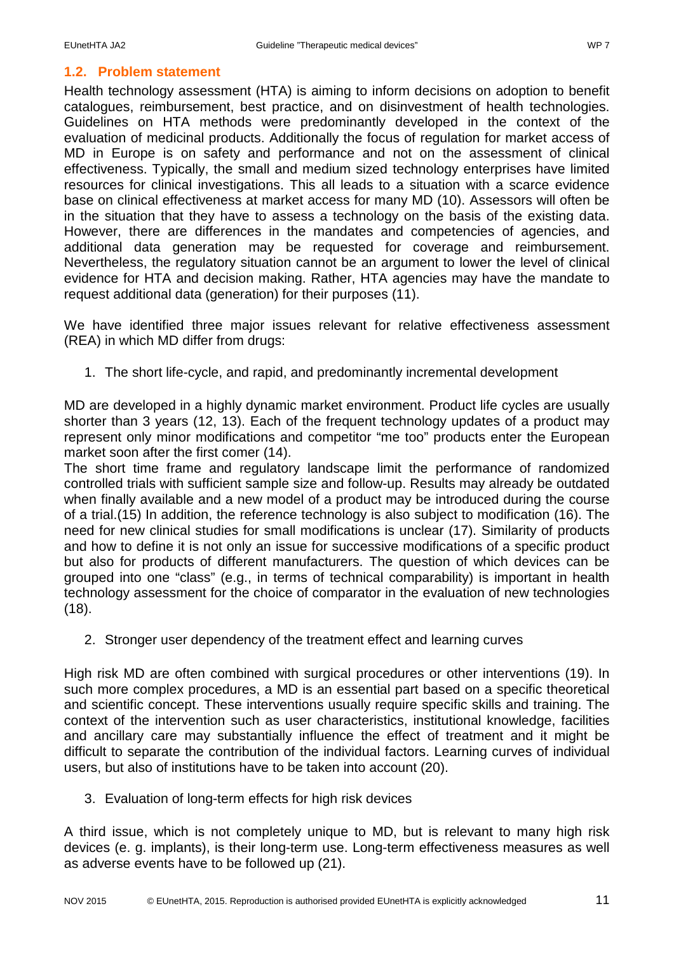#### <span id="page-11-0"></span>**1.2. Problem statement**

Health technology assessment (HTA) is aiming to inform decisions on adoption to benefit catalogues, reimbursement, best practice, and on disinvestment of health technologies. Guidelines on HTA methods were predominantly developed in the context of the evaluation of medicinal products. Additionally the focus of regulation for market access of MD in Europe is on safety and performance and not on the assessment of clinical effectiveness. Typically, the small and medium sized technology enterprises have limited resources for clinical investigations. This all leads to a situation with a scarce evidence base on clinical effectiveness at market access for many MD (10). Assessors will often be in the situation that they have to assess a technology on the basis of the existing data. However, there are differences in the mandates and competencies of agencies, and additional data generation may be requested for coverage and reimbursement. Nevertheless, the regulatory situation cannot be an argument to lower the level of clinical evidence for HTA and decision making. Rather, HTA agencies may have the mandate to request additional data (generation) for their purposes (11).

We have identified three major issues relevant for relative effectiveness assessment (REA) in which MD differ from drugs:

1. The short life-cycle, and rapid, and predominantly incremental development

MD are developed in a highly dynamic market environment. Product life cycles are usually shorter than 3 years (12, 13). Each of the frequent technology updates of a product may represent only minor modifications and competitor "me too" products enter the European market soon after the first comer (14).

The short time frame and regulatory landscape limit the performance of randomized controlled trials with sufficient sample size and follow-up. Results may already be outdated when finally available and a new model of a product may be introduced during the course of a trial.(15) In addition, the reference technology is also subject to modification (16). The need for new clinical studies for small modifications is unclear (17). Similarity of products and how to define it is not only an issue for successive modifications of a specific product but also for products of different manufacturers. The question of which devices can be grouped into one "class" (e.g., in terms of technical comparability) is important in health technology assessment for the choice of comparator in the evaluation of new technologies (18).

2. Stronger user dependency of the treatment effect and learning curves

High risk MD are often combined with surgical procedures or other interventions (19). In such more complex procedures, a MD is an essential part based on a specific theoretical and scientific concept. These interventions usually require specific skills and training. The context of the intervention such as user characteristics, institutional knowledge, facilities and ancillary care may substantially influence the effect of treatment and it might be difficult to separate the contribution of the individual factors. Learning curves of individual users, but also of institutions have to be taken into account (20).

3. Evaluation of long-term effects for high risk devices

A third issue, which is not completely unique to MD, but is relevant to many high risk devices (e. g. implants), is their long-term use. Long-term effectiveness measures as well as adverse events have to be followed up (21).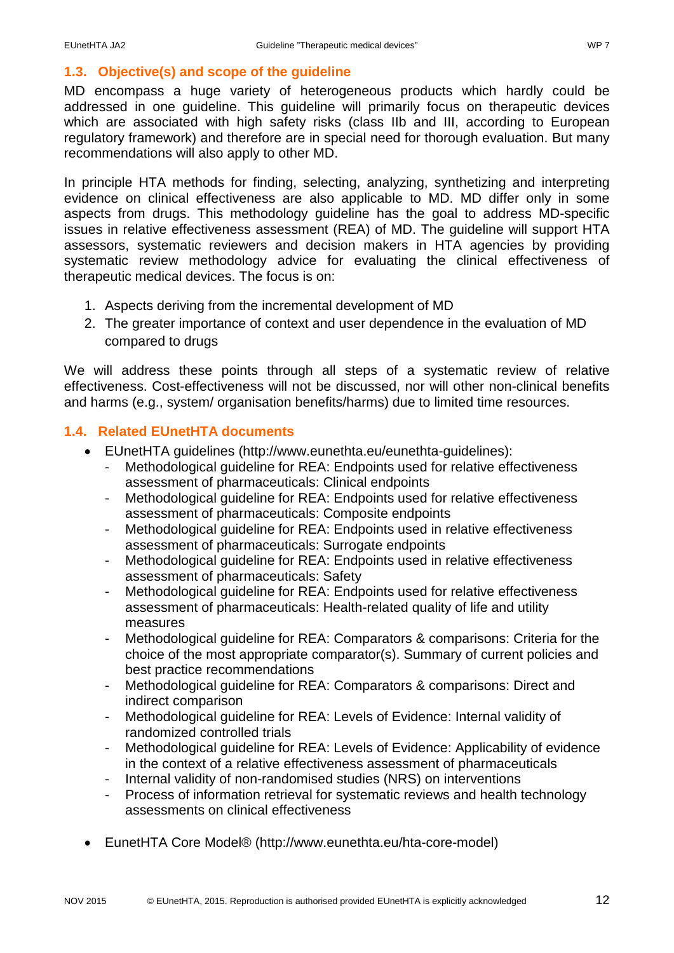# <span id="page-12-0"></span>**1.3. Objective(s) and scope of the guideline**

MD encompass a huge variety of heterogeneous products which hardly could be addressed in one guideline. This guideline will primarily focus on therapeutic devices which are associated with high safety risks (class IIb and III, according to European regulatory framework) and therefore are in special need for thorough evaluation. But many recommendations will also apply to other MD.

In principle HTA methods for finding, selecting, analyzing, synthetizing and interpreting evidence on clinical effectiveness are also applicable to MD. MD differ only in some aspects from drugs. This methodology guideline has the goal to address MD-specific issues in relative effectiveness assessment (REA) of MD. The guideline will support HTA assessors, systematic reviewers and decision makers in HTA agencies by providing systematic review methodology advice for evaluating the clinical effectiveness of therapeutic medical devices. The focus is on:

- 1. Aspects deriving from the incremental development of MD
- 2. The greater importance of context and user dependence in the evaluation of MD compared to drugs

We will address these points through all steps of a systematic review of relative effectiveness. Cost-effectiveness will not be discussed, nor will other non-clinical benefits and harms (e.g., system/ organisation benefits/harms) due to limited time resources.

# <span id="page-12-1"></span>**1.4. Related EUnetHTA documents**

- EUnetHTA guidelines (http://www.eunethta.eu/eunethta-guidelines):
	- Methodological guideline for REA: Endpoints used for relative effectiveness assessment of pharmaceuticals: Clinical endpoints
	- Methodological guideline for REA: Endpoints used for relative effectiveness assessment of pharmaceuticals: Composite endpoints
	- Methodological guideline for REA: Endpoints used in relative effectiveness assessment of pharmaceuticals: Surrogate endpoints
	- Methodological guideline for REA: Endpoints used in relative effectiveness assessment of pharmaceuticals: Safety
	- Methodological guideline for REA: Endpoints used for relative effectiveness assessment of pharmaceuticals: Health-related quality of life and utility measures
	- Methodological guideline for REA: Comparators & comparisons: Criteria for the choice of the most appropriate comparator(s). Summary of current policies and best practice recommendations
	- Methodological guideline for REA: Comparators & comparisons: Direct and indirect comparison
	- Methodological guideline for REA: Levels of Evidence: Internal validity of randomized controlled trials
	- Methodological guideline for REA: Levels of Evidence: Applicability of evidence in the context of a relative effectiveness assessment of pharmaceuticals
	- Internal validity of non-randomised studies (NRS) on interventions
	- Process of information retrieval for systematic reviews and health technology assessments on clinical effectiveness
- EunetHTA Core Model® [\(http://www.eunethta.eu/hta-core-model\)](http://www.eunethta.eu/hta-core-model)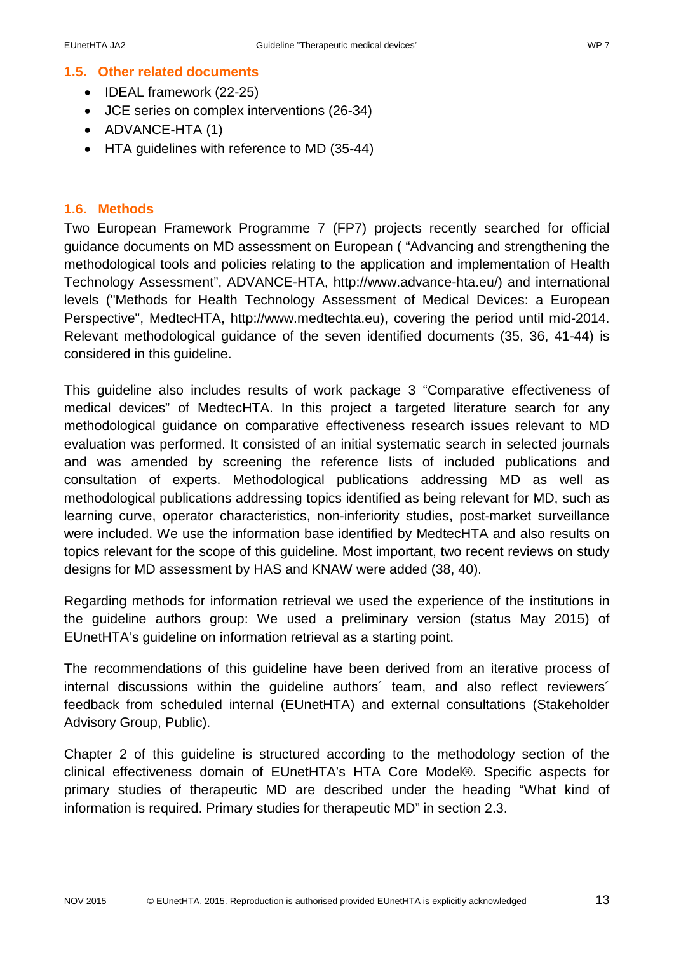#### <span id="page-13-0"></span>**1.5. Other related documents**

- IDEAL framework (22-25)
- JCE series on complex interventions (26-34)
- ADVANCE-HTA (1)
- HTA guidelines with reference to MD (35-44)

#### <span id="page-13-1"></span>**1.6. Methods**

Two European Framework Programme 7 (FP7) projects recently searched for official guidance documents on MD assessment on European ( "Advancing and strengthening the methodological tools and policies relating to the application and implementation of Health Technology Assessment", ADVANCE-HTA, http://www.advance-hta.eu/) and international levels ("Methods for Health Technology Assessment of Medical Devices: a European Perspective", MedtecHTA, [http://www.medtechta.eu\)](http://www.medtechta.eu/), covering the period until mid-2014. Relevant methodological guidance of the seven identified documents (35, 36, 41-44) is considered in this guideline.

This guideline also includes results of work package 3 "Comparative effectiveness of medical devices" of MedtecHTA. In this project a targeted literature search for any methodological guidance on comparative effectiveness research issues relevant to MD evaluation was performed. It consisted of an initial systematic search in selected journals and was amended by screening the reference lists of included publications and consultation of experts. Methodological publications addressing MD as well as methodological publications addressing topics identified as being relevant for MD, such as learning curve, operator characteristics, non-inferiority studies, post-market surveillance were included. We use the information base identified by MedtecHTA and also results on topics relevant for the scope of this guideline. Most important, two recent reviews on study designs for MD assessment by HAS and KNAW were added (38, 40).

Regarding methods for information retrieval we used the experience of the institutions in the guideline authors group: We used a preliminary version (status May 2015) of EUnetHTA's guideline on information retrieval as a starting point.

The recommendations of this guideline have been derived from an iterative process of internal discussions within the guideline authors´ team, and also reflect reviewers´ feedback from scheduled internal (EUnetHTA) and external consultations (Stakeholder Advisory Group, Public).

Chapter 2 of this guideline is structured according to the methodology section of the clinical effectiveness domain of EUnetHTA's HTA Core Model®. Specific aspects for primary studies of therapeutic MD are described under the heading "What kind of information is required. Primary studies for therapeutic MD" in section 2.3.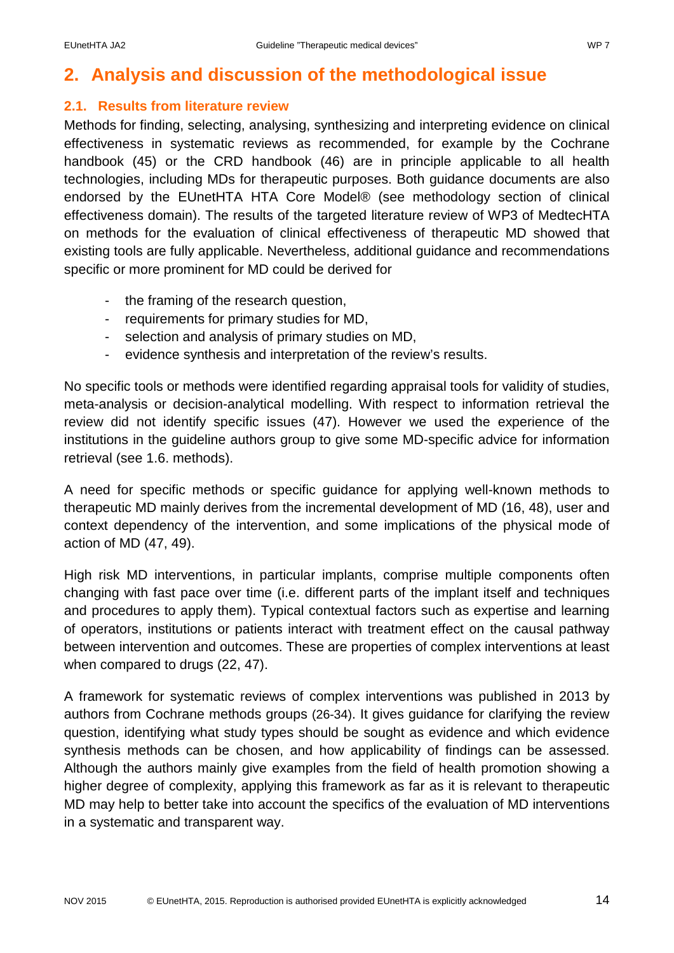# <span id="page-14-0"></span>**2. Analysis and discussion of the methodological issue**

## <span id="page-14-1"></span>**2.1. Results from literature review**

Methods for finding, selecting, analysing, synthesizing and interpreting evidence on clinical effectiveness in systematic reviews as recommended, for example by the Cochrane handbook (45) or the CRD handbook (46) are in principle applicable to all health technologies, including MDs for therapeutic purposes. Both guidance documents are also endorsed by the EUnetHTA HTA Core Model® (see methodology section of clinical effectiveness domain). The results of the targeted literature review of WP3 of MedtecHTA on methods for the evaluation of clinical effectiveness of therapeutic MD showed that existing tools are fully applicable. Nevertheless, additional guidance and recommendations specific or more prominent for MD could be derived for

- the framing of the research question,
- requirements for primary studies for MD,
- selection and analysis of primary studies on MD,
- evidence synthesis and interpretation of the review's results.

No specific tools or methods were identified regarding appraisal tools for validity of studies, meta-analysis or decision-analytical modelling. With respect to information retrieval the review did not identify specific issues (47). However we used the experience of the institutions in the guideline authors group to give some MD-specific advice for information retrieval (see 1.6. methods).

A need for specific methods or specific guidance for applying well-known methods to therapeutic MD mainly derives from the incremental development of MD (16, 48), user and context dependency of the intervention, and some implications of the physical mode of action of MD (47, 49).

High risk MD interventions, in particular implants, comprise multiple components often changing with fast pace over time (i.e. different parts of the implant itself and techniques and procedures to apply them). Typical contextual factors such as expertise and learning of operators, institutions or patients interact with treatment effect on the causal pathway between intervention and outcomes. These are properties of complex interventions at least when compared to drugs (22, 47).

A framework for systematic reviews of complex interventions was published in 2013 by authors from Cochrane methods groups (26-34). It gives guidance for clarifying the review question, identifying what study types should be sought as evidence and which evidence synthesis methods can be chosen, and how applicability of findings can be assessed. Although the authors mainly give examples from the field of health promotion showing a higher degree of complexity, applying this framework as far as it is relevant to therapeutic MD may help to better take into account the specifics of the evaluation of MD interventions in a systematic and transparent way.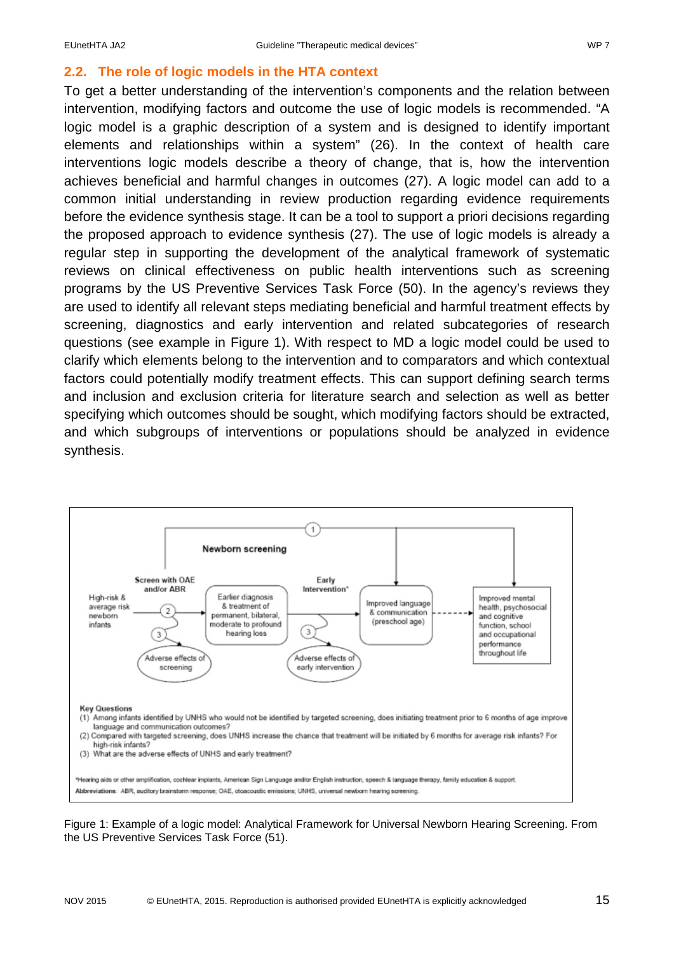# <span id="page-15-0"></span>**2.2. The role of logic models in the HTA context**

To get a better understanding of the intervention's components and the relation between intervention, modifying factors and outcome the use of logic models is recommended. "A logic model is a graphic description of a system and is designed to identify important elements and relationships within a system" (26). In the context of health care interventions logic models describe a theory of change, that is, how the intervention achieves beneficial and harmful changes in outcomes (27). A logic model can add to a common initial understanding in review production regarding evidence requirements before the evidence synthesis stage. It can be a tool to support a priori decisions regarding the proposed approach to evidence synthesis (27). The use of logic models is already a regular step in supporting the development of the analytical framework of systematic reviews on clinical effectiveness on public health interventions such as screening programs by the US Preventive Services Task Force (50). In the agency's reviews they are used to identify all relevant steps mediating beneficial and harmful treatment effects by screening, diagnostics and early intervention and related subcategories of research questions (see example in [Figure 1\)](#page-15-1). With respect to MD a logic model could be used to clarify which elements belong to the intervention and to comparators and which contextual factors could potentially modify treatment effects. This can support defining search terms and inclusion and exclusion criteria for literature search and selection as well as better specifying which outcomes should be sought, which modifying factors should be extracted, and which subgroups of interventions or populations should be analyzed in evidence synthesis.



<span id="page-15-1"></span>Figure 1: Example of a logic model: Analytical Framework for Universal Newborn Hearing Screening. From the US Preventive Services Task Force (51).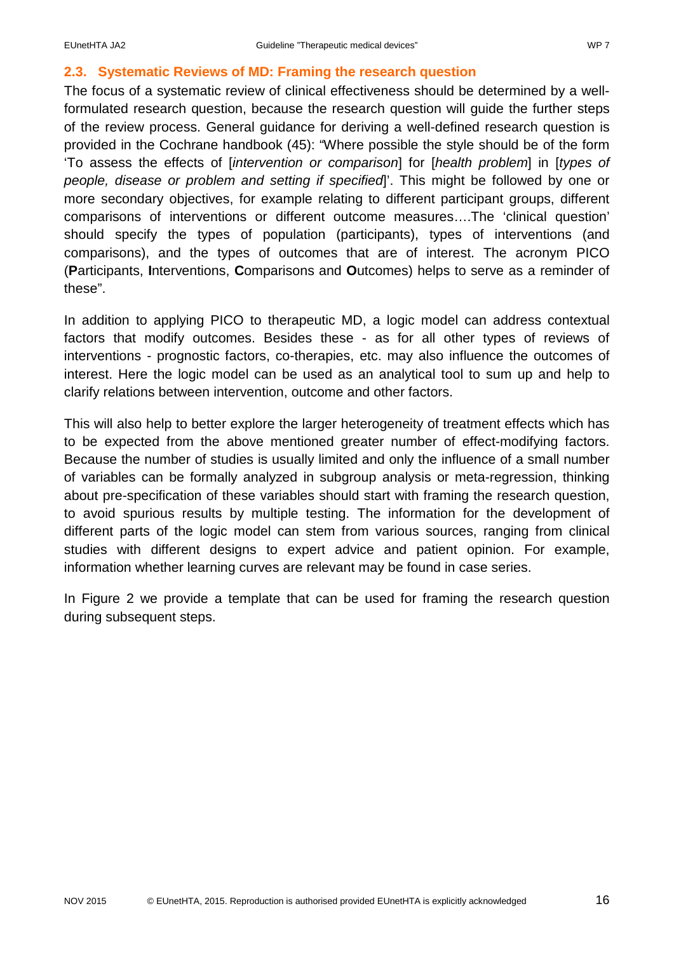## <span id="page-16-0"></span>**2.3. Systematic Reviews of MD: Framing the research question**

The focus of a systematic review of clinical effectiveness should be determined by a wellformulated research question, because the research question will guide the further steps of the review process. General guidance for deriving a well-defined research question is provided in the Cochrane handbook (45): "Where possible the style should be of the form 'To assess the effects of [*intervention or comparison*] for [*health problem*] in [*types of people, disease or problem and setting if specified*]'. This might be followed by one or more secondary objectives, for example relating to different participant groups, different comparisons of interventions or different outcome measures….The 'clinical question' should specify the types of population (participants), types of interventions (and comparisons), and the types of outcomes that are of interest. The acronym PICO (**P**articipants, **I**nterventions, **C**omparisons and **O**utcomes) helps to serve as a reminder of these".

In addition to applying PICO to therapeutic MD, a logic model can address contextual factors that modify outcomes. Besides these - as for all other types of reviews of interventions - prognostic factors, co-therapies, etc. may also influence the outcomes of interest. Here the logic model can be used as an analytical tool to sum up and help to clarify relations between intervention, outcome and other factors.

This will also help to better explore the larger heterogeneity of treatment effects which has to be expected from the above mentioned greater number of effect-modifying factors. Because the number of studies is usually limited and only the influence of a small number of variables can be formally analyzed in subgroup analysis or meta-regression, thinking about pre-specification of these variables should start with framing the research question, to avoid spurious results by multiple testing. The information for the development of different parts of the logic model can stem from various sources, ranging from clinical studies with different designs to expert advice and patient opinion. For example, information whether learning curves are relevant may be found in case series.

In [Figure 2](#page-17-1) we provide a template that can be used for framing the research question during subsequent steps.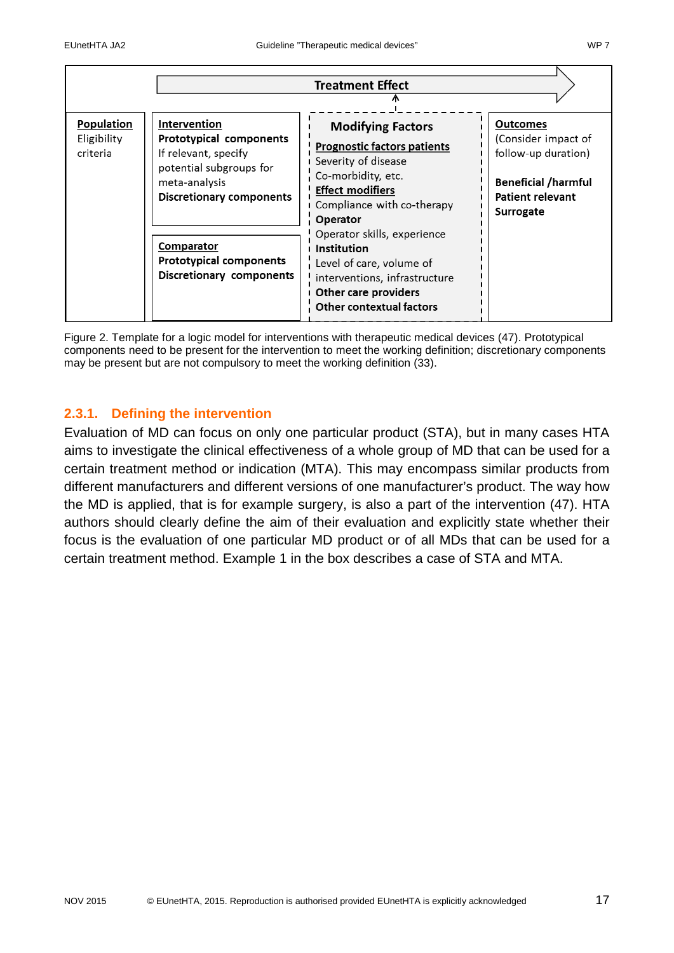|                                                                                      |                                                                                                               | <b>Treatment Effect</b>                                                                                                                                                                                                                                                                                                                                |                                                                                                                                            |
|--------------------------------------------------------------------------------------|---------------------------------------------------------------------------------------------------------------|--------------------------------------------------------------------------------------------------------------------------------------------------------------------------------------------------------------------------------------------------------------------------------------------------------------------------------------------------------|--------------------------------------------------------------------------------------------------------------------------------------------|
| Population<br>Intervention<br>Eligibility<br>criteria<br>meta-analysis<br>Comparator | Prototypical components<br>If relevant, specify<br>potential subgroups for<br><b>Discretionary components</b> | <b>Modifying Factors</b><br><b>Prognostic factors patients</b><br>Severity of disease<br>Co-morbidity, etc.<br><b>Effect modifiers</b><br>Compliance with co-therapy<br>Operator<br>Operator skills, experience<br>Institution<br>Level of care, volume of<br>interventions, infrastructure<br>Other care providers<br><b>Other contextual factors</b> | <b>Outcomes</b><br>(Consider impact of<br>follow-up duration)<br><b>Beneficial /harmful</b><br><b>Patient relevant</b><br><b>Surrogate</b> |
|                                                                                      | <b>Prototypical components</b><br><b>Discretionary components</b>                                             |                                                                                                                                                                                                                                                                                                                                                        |                                                                                                                                            |

<span id="page-17-1"></span>Figure 2. Template for a logic model for interventions with therapeutic medical devices (47). Prototypical components need to be present for the intervention to meet the working definition; discretionary components may be present but are not compulsory to meet the working definition (33).

# <span id="page-17-0"></span>**2.3.1. Defining the intervention**

Evaluation of MD can focus on only one particular product (STA), but in many cases HTA aims to investigate the clinical effectiveness of a whole group of MD that can be used for a certain treatment method or indication (MTA). This may encompass similar products from different manufacturers and different versions of one manufacturer's product. The way how the MD is applied, that is for example surgery, is also a part of the intervention (47). HTA authors should clearly define the aim of their evaluation and explicitly state whether their focus is the evaluation of one particular MD product or of all MDs that can be used for a certain treatment method. Example 1 in the box describes a case of STA and MTA.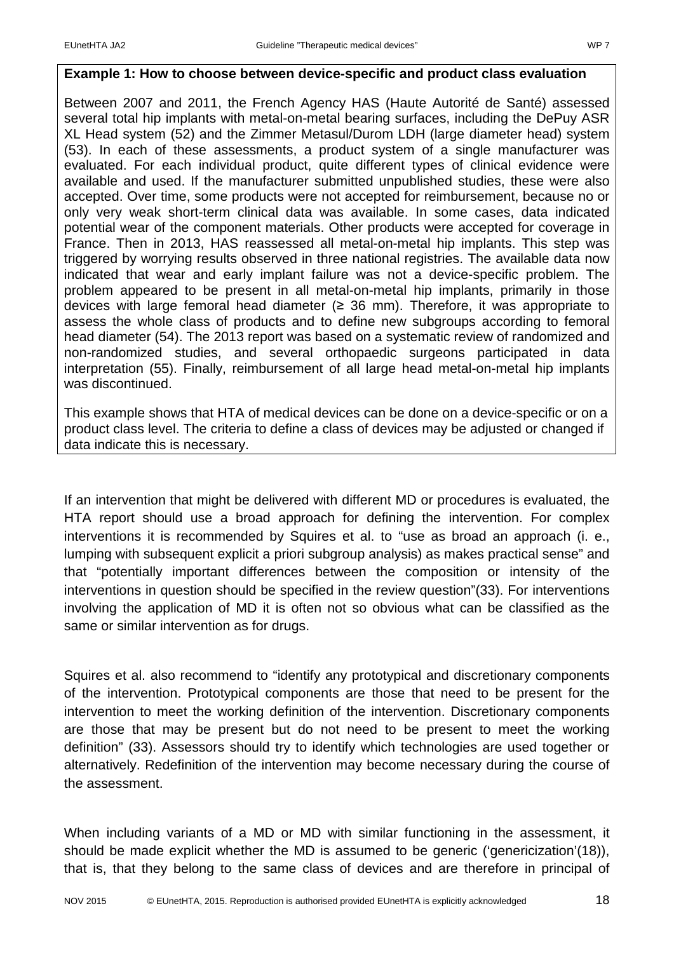#### **Example 1: How to choose between device-specific and product class evaluation**

Between 2007 and 2011, the French Agency HAS (Haute Autorité de Santé) assessed several total hip implants with metal-on-metal bearing surfaces, including the DePuy ASR XL Head system (52) and the Zimmer Metasul/Durom LDH (large diameter head) system (53). In each of these assessments, a product system of a single manufacturer was evaluated. For each individual product, quite different types of clinical evidence were available and used. If the manufacturer submitted unpublished studies, these were also accepted. Over time, some products were not accepted for reimbursement, because no or only very weak short-term clinical data was available. In some cases, data indicated potential wear of the component materials. Other products were accepted for coverage in France. Then in 2013, HAS reassessed all metal-on-metal hip implants. This step was triggered by worrying results observed in three national registries. The available data now indicated that wear and early implant failure was not a device-specific problem. The problem appeared to be present in all metal-on-metal hip implants, primarily in those devices with large femoral head diameter  $(≥ 36$  mm). Therefore, it was appropriate to assess the whole class of products and to define new subgroups according to femoral head diameter (54). The 2013 report was based on a systematic review of randomized and non-randomized studies, and several orthopaedic surgeons participated in data interpretation (55). Finally, reimbursement of all large head metal-on-metal hip implants was discontinued.

This example shows that HTA of medical devices can be done on a device-specific or on a product class level. The criteria to define a class of devices may be adjusted or changed if data indicate this is necessary.

If an intervention that might be delivered with different MD or procedures is evaluated, the HTA report should use a broad approach for defining the intervention. For complex interventions it is recommended by Squires et al. to "use as broad an approach (i. e., lumping with subsequent explicit a priori subgroup analysis) as makes practical sense" and that "potentially important differences between the composition or intensity of the interventions in question should be specified in the review question"(33). For interventions involving the application of MD it is often not so obvious what can be classified as the same or similar intervention as for drugs.

Squires et al. also recommend to "identify any prototypical and discretionary components of the intervention. Prototypical components are those that need to be present for the intervention to meet the working definition of the intervention. Discretionary components are those that may be present but do not need to be present to meet the working definition" (33). Assessors should try to identify which technologies are used together or alternatively. Redefinition of the intervention may become necessary during the course of the assessment.

When including variants of a MD or MD with similar functioning in the assessment, it should be made explicit whether the MD is assumed to be generic ('genericization'(18)), that is, that they belong to the same class of devices and are therefore in principal of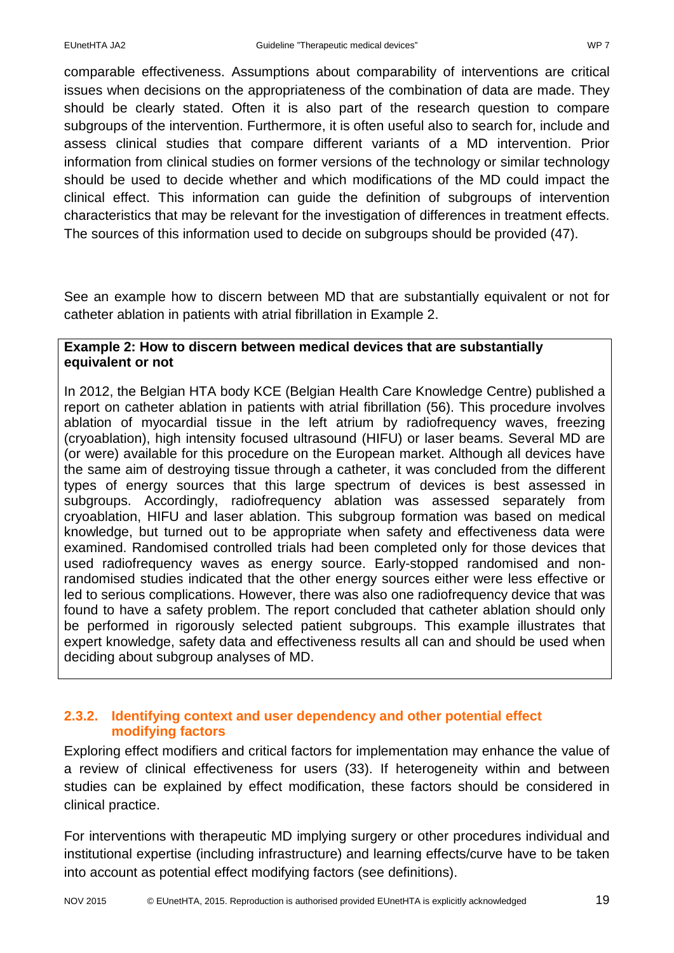comparable effectiveness. Assumptions about comparability of interventions are critical issues when decisions on the appropriateness of the combination of data are made. They should be clearly stated. Often it is also part of the research question to compare subgroups of the intervention. Furthermore, it is often useful also to search for, include and assess clinical studies that compare different variants of a MD intervention. Prior information from clinical studies on former versions of the technology or similar technology should be used to decide whether and which modifications of the MD could impact the clinical effect. This information can guide the definition of subgroups of intervention characteristics that may be relevant for the investigation of differences in treatment effects. The sources of this information used to decide on subgroups should be provided (47).

See an example how to discern between MD that are substantially equivalent or not for catheter ablation in patients with atrial fibrillation in Example 2.

#### **Example 2: How to discern between medical devices that are substantially equivalent or not**

In 2012, the Belgian HTA body KCE (Belgian Health Care Knowledge Centre) published a report on catheter ablation in patients with atrial fibrillation (56). This procedure involves ablation of myocardial tissue in the left atrium by radiofrequency waves, freezing (cryoablation), high intensity focused ultrasound (HIFU) or laser beams. Several MD are (or were) available for this procedure on the European market. Although all devices have the same aim of destroying tissue through a catheter, it was concluded from the different types of energy sources that this large spectrum of devices is best assessed in subgroups. Accordingly, radiofrequency ablation was assessed separately from cryoablation, HIFU and laser ablation. This subgroup formation was based on medical knowledge, but turned out to be appropriate when safety and effectiveness data were examined. Randomised controlled trials had been completed only for those devices that used radiofrequency waves as energy source. Early-stopped randomised and nonrandomised studies indicated that the other energy sources either were less effective or led to serious complications. However, there was also one radiofrequency device that was found to have a safety problem. The report concluded that catheter ablation should only be performed in rigorously selected patient subgroups. This example illustrates that expert knowledge, safety data and effectiveness results all can and should be used when deciding about subgroup analyses of MD.

# <span id="page-19-0"></span>**2.3.2. Identifying context and user dependency and other potential effect modifying factors**

Exploring effect modifiers and critical factors for implementation may enhance the value of a review of clinical effectiveness for users (33). If heterogeneity within and between studies can be explained by effect modification, these factors should be considered in clinical practice.

For interventions with therapeutic MD implying surgery or other procedures individual and institutional expertise (including infrastructure) and learning effects/curve have to be taken into account as potential effect modifying factors (see definitions).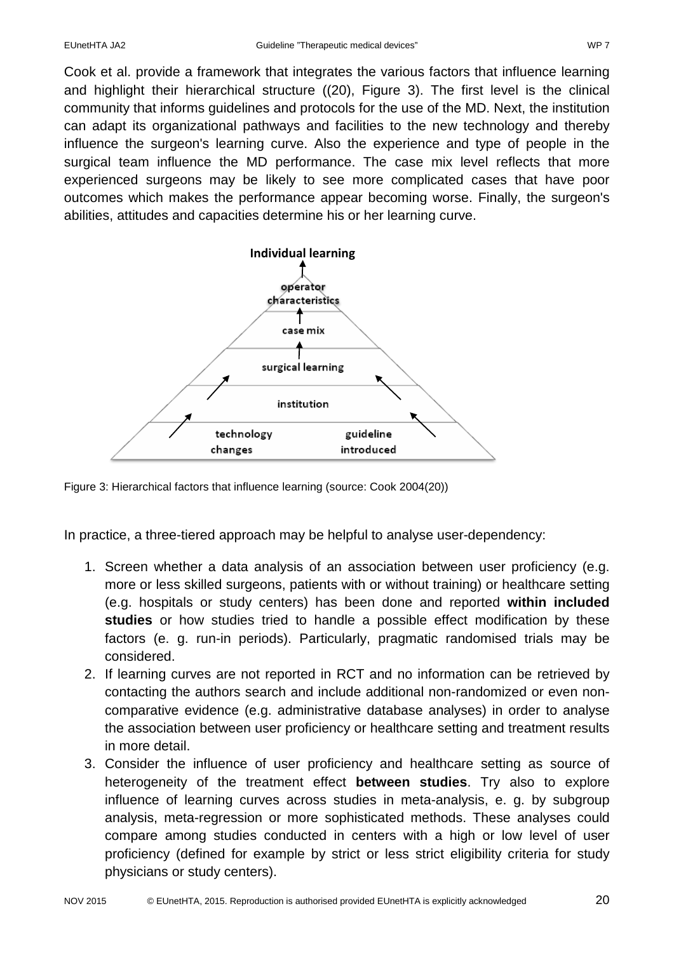Cook et al. provide a framework that integrates the various factors that influence learning and highlight their hierarchical structure ((20), Figure 3). The first level is the clinical community that informs guidelines and protocols for the use of the MD. Next, the institution can adapt its organizational pathways and facilities to the new technology and thereby influence the surgeon's learning curve. Also the experience and type of people in the surgical team influence the MD performance. The case mix level reflects that more experienced surgeons may be likely to see more complicated cases that have poor outcomes which makes the performance appear becoming worse. Finally, the surgeon's abilities, attitudes and capacities determine his or her learning curve.



Figure 3: Hierarchical factors that influence learning (source: Cook 2004(20))

In practice, a three-tiered approach may be helpful to analyse user-dependency:

- 1. Screen whether a data analysis of an association between user proficiency (e.g. more or less skilled surgeons, patients with or without training) or healthcare setting (e.g. hospitals or study centers) has been done and reported **within included studies** or how studies tried to handle a possible effect modification by these factors (e. g. run-in periods). Particularly, pragmatic randomised trials may be considered.
- 2. If learning curves are not reported in RCT and no information can be retrieved by contacting the authors search and include additional non-randomized or even noncomparative evidence (e.g. administrative database analyses) in order to analyse the association between user proficiency or healthcare setting and treatment results in more detail.
- 3. Consider the influence of user proficiency and healthcare setting as source of heterogeneity of the treatment effect **between studies**. Try also to explore influence of learning curves across studies in meta-analysis, e. g. by subgroup analysis, meta-regression or more sophisticated methods. These analyses could compare among studies conducted in centers with a high or low level of user proficiency (defined for example by strict or less strict eligibility criteria for study physicians or study centers).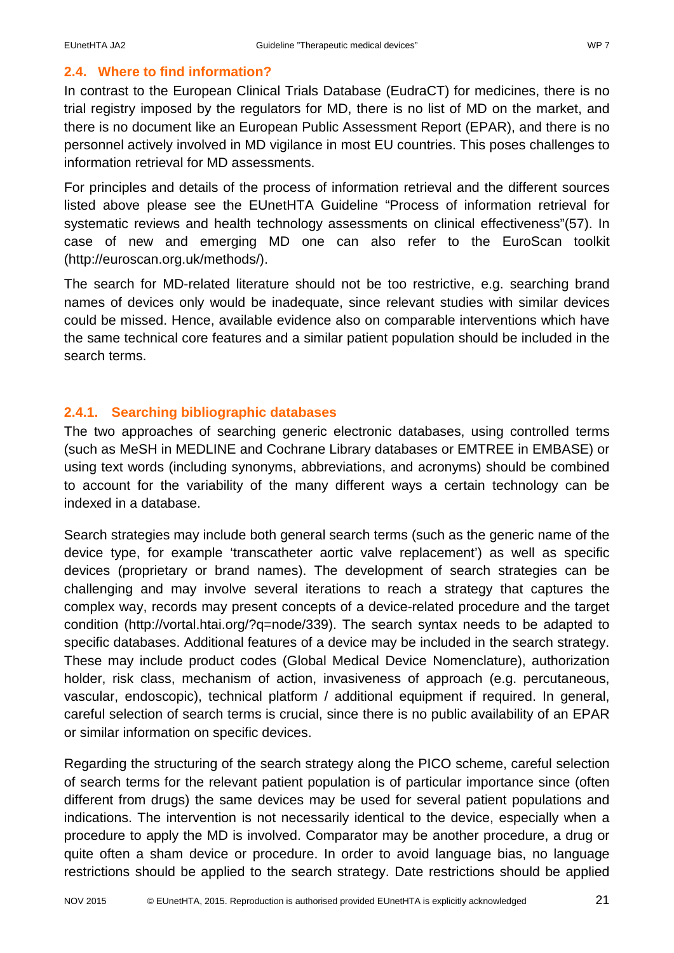# <span id="page-21-0"></span>**2.4. Where to find information?**

In contrast to the European Clinical Trials Database (EudraCT) for medicines, there is no trial registry imposed by the regulators for MD, there is no list of MD on the market, and there is no document like an European Public Assessment Report (EPAR), and there is no personnel actively involved in MD vigilance in most EU countries. This poses challenges to information retrieval for MD assessments.

For principles and details of the process of information retrieval and the different sources listed above please see the EUnetHTA Guideline "Process of information retrieval for systematic reviews and health technology assessments on clinical effectiveness"(57). In case of new and emerging MD one can also refer to the EuroScan toolkit (http://euroscan.org.uk/methods/).

The search for MD-related literature should not be too restrictive, e.g. searching brand names of devices only would be inadequate, since relevant studies with similar devices could be missed. Hence, available evidence also on comparable interventions which have the same technical core features and a similar patient population should be included in the search terms.

# <span id="page-21-1"></span>**2.4.1. Searching bibliographic databases**

The two approaches of searching generic electronic databases, using controlled terms (such as MeSH in MEDLINE and Cochrane Library databases or EMTREE in EMBASE) or using text words (including synonyms, abbreviations, and acronyms) should be combined to account for the variability of the many different ways a certain technology can be indexed in a database.

Search strategies may include both general search terms (such as the generic name of the device type, for example 'transcatheter aortic valve replacement') as well as specific devices (proprietary or brand names). The development of search strategies can be challenging and may involve several iterations to reach a strategy that captures the complex way, records may present concepts of a device-related procedure and the target condition [\(http://vortal.htai.org/?q=node/339\)](http://vortal.htai.org/?q=node/339). The search syntax needs to be adapted to specific databases. Additional features of a device may be included in the search strategy. These may include product codes (Global Medical Device Nomenclature), authorization holder, risk class, mechanism of action, invasiveness of approach (e.g. percutaneous, vascular, endoscopic), technical platform / additional equipment if required. In general, careful selection of search terms is crucial, since there is no public availability of an EPAR or similar information on specific devices.

Regarding the structuring of the search strategy along the PICO scheme, careful selection of search terms for the relevant patient population is of particular importance since (often different from drugs) the same devices may be used for several patient populations and indications. The intervention is not necessarily identical to the device, especially when a procedure to apply the MD is involved. Comparator may be another procedure, a drug or quite often a sham device or procedure. In order to avoid language bias, no language restrictions should be applied to the search strategy. Date restrictions should be applied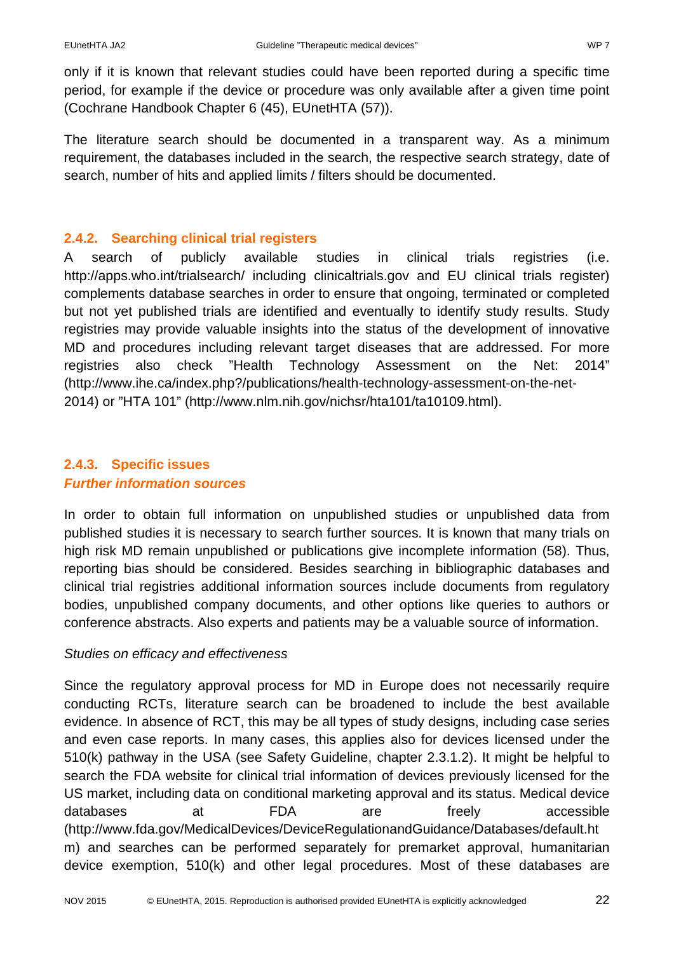only if it is known that relevant studies could have been reported during a specific time period, for example if the device or procedure was only available after a given time point (Cochrane Handbook Chapter 6 (45), EUnetHTA (57)).

The literature search should be documented in a transparent way. As a minimum requirement, the databases included in the search, the respective search strategy, date of search, number of hits and applied limits / filters should be documented.

# <span id="page-22-0"></span>**2.4.2. Searching clinical trial registers**

A search of publicly available studies in clinical trials registries (i.e. <http://apps.who.int/trialsearch/> including clinicaltrials.gov and EU clinical trials register) complements database searches in order to ensure that ongoing, terminated or completed but not yet published trials are identified and eventually to identify study results. Study registries may provide valuable insights into the status of the development of innovative MD and procedures including relevant target diseases that are addressed. For more registries also check "Health Technology Assessment on the Net: 2014" (http://www.ihe.ca/index.php?/publications/health-technology-assessment-on-the-net-2014) or "HTA 101" [\(http://www.nlm.nih.gov/nichsr/hta101/ta10109.html\)](http://www.nlm.nih.gov/nichsr/hta101/ta10109.html).

# <span id="page-22-1"></span>**2.4.3. Specific issues** *Further information sources*

In order to obtain full information on unpublished studies or unpublished data from published studies it is necessary to search further sources. It is known that many trials on high risk MD remain unpublished or publications give incomplete information (58). Thus, reporting bias should be considered. Besides searching in bibliographic databases and clinical trial registries additional information sources include documents from regulatory bodies, unpublished company documents, and other options like queries to authors or conference abstracts. Also experts and patients may be a valuable source of information.

# *Studies on efficacy and effectiveness*

Since the regulatory approval process for MD in Europe does not necessarily require conducting RCTs, literature search can be broadened to include the best available evidence. In absence of RCT, this may be all types of study designs, including case series and even case reports. In many cases, this applies also for devices licensed under the 510(k) pathway in the USA (see Safety Guideline, chapter 2.3.1.2). It might be helpful to search the FDA website for clinical trial information of devices previously licensed for the US market, including data on conditional marketing approval and its status. Medical device databases at FDA are freely accessible (http://www.fda.gov/MedicalDevices/DeviceRegulationandGuidance/Databases/default.ht m) and searches can be performed separately for premarket approval, humanitarian device exemption, 510(k) and other legal procedures. Most of these databases are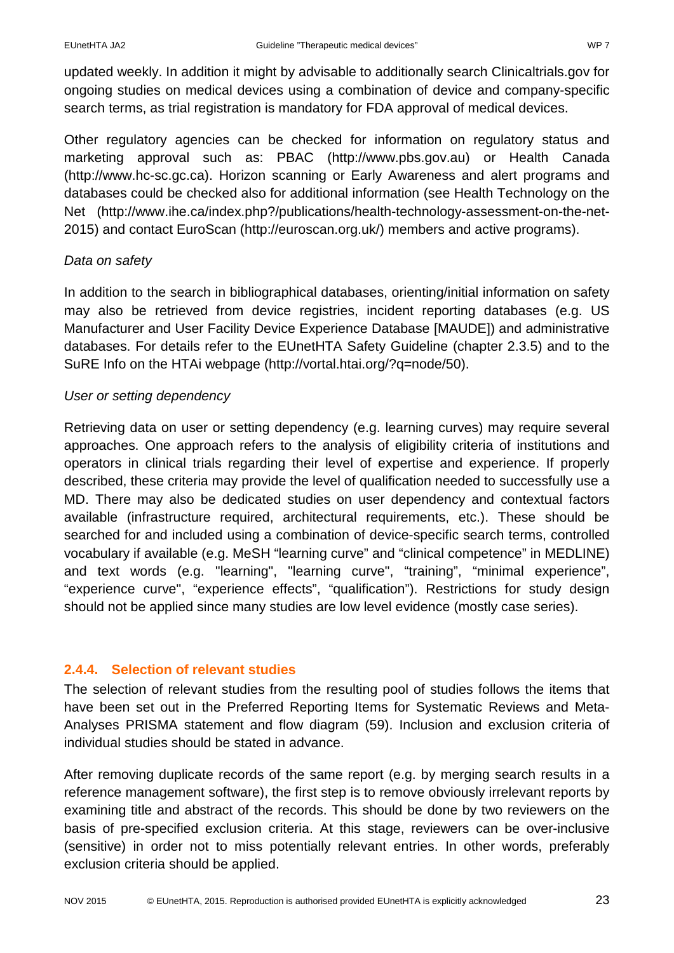updated weekly. In addition it might by advisable to additionally search Clinicaltrials.gov for ongoing studies on medical devices using a combination of device and company-specific search terms, as trial registration is mandatory for FDA approval of medical devices.

Other regulatory agencies can be checked for information on regulatory status and marketing approval such as: PBAC [\(http://www.pbs.gov.au\)](http://www.pbs.gov.au/) or Health Canada (http://www.hc-sc.gc.ca). Horizon scanning or Early Awareness and alert programs and databases could be checked also for additional information (see Health Technology on the Net (http://www.ihe.ca/index.php?/publications/health-technology-assessment-on-the-net-2015) and contact EuroScan (http://euroscan.org.uk/) members and active programs).

# *Data on safety*

In addition to the search in bibliographical databases, orienting/initial information on safety may also be retrieved from device registries, incident reporting databases (e.g. US Manufacturer and User Facility Device Experience Database [MAUDE]) and administrative databases. For details refer to the EUnetHTA Safety Guideline (chapter 2.3.5) and to the SuRE Info on the HTAi webpage [\(http://vortal.htai.org/?q=node/50\)](http://vortal.htai.org/?q=node/50).

# *User or setting dependency*

Retrieving data on user or setting dependency (e.g. learning curves) may require several approaches. One approach refers to the analysis of eligibility criteria of institutions and operators in clinical trials regarding their level of expertise and experience. If properly described, these criteria may provide the level of qualification needed to successfully use a MD. There may also be dedicated studies on user dependency and contextual factors available (infrastructure required, architectural requirements, etc.). These should be searched for and included using a combination of device-specific search terms, controlled vocabulary if available (e.g. MeSH "learning curve" and "clinical competence" in MEDLINE) and text words (e.g. "learning", "learning curve", "training", "minimal experience", "experience curve", "experience effects", "qualification"). Restrictions for study design should not be applied since many studies are low level evidence (mostly case series).

# <span id="page-23-0"></span>**2.4.4. Selection of relevant studies**

The selection of relevant studies from the resulting pool of studies follows the items that have been set out in the Preferred Reporting Items for Systematic Reviews and Meta-Analyses PRISMA statement and flow diagram (59). Inclusion and exclusion criteria of individual studies should be stated in advance.

After removing duplicate records of the same report (e.g. by merging search results in a reference management software), the first step is to remove obviously irrelevant reports by examining title and abstract of the records. This should be done by two reviewers on the basis of pre-specified exclusion criteria. At this stage, reviewers can be over-inclusive (sensitive) in order not to miss potentially relevant entries. In other words, preferably exclusion criteria should be applied.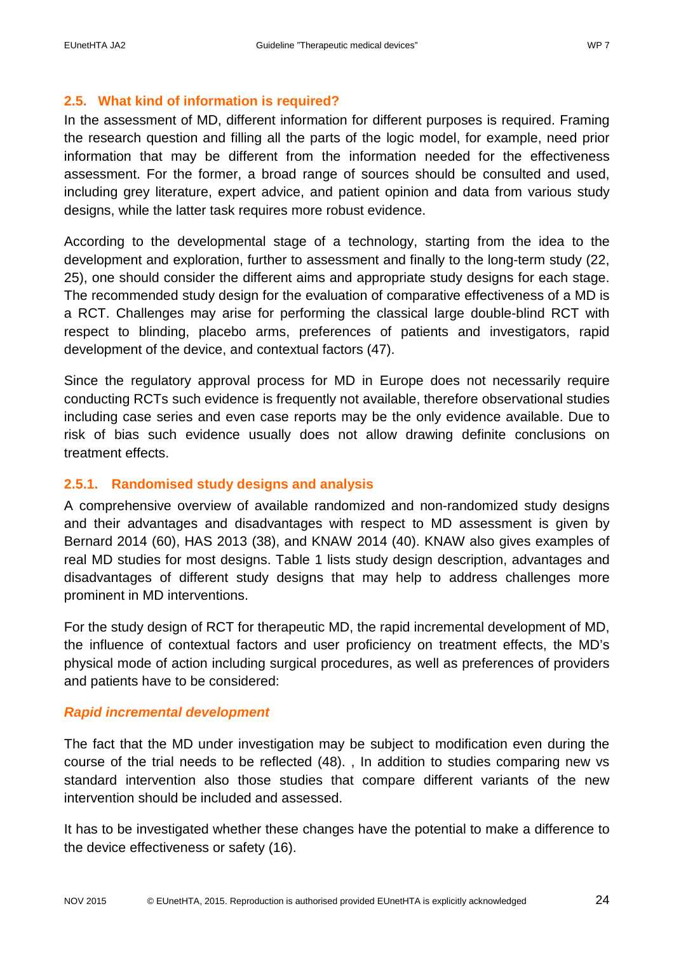#### <span id="page-24-0"></span>**2.5. What kind of information is required?**

In the assessment of MD, different information for different purposes is required. Framing the research question and filling all the parts of the logic model, for example, need prior information that may be different from the information needed for the effectiveness assessment. For the former, a broad range of sources should be consulted and used, including grey literature, expert advice, and patient opinion and data from various study designs, while the latter task requires more robust evidence.

According to the developmental stage of a technology, starting from the idea to the development and exploration, further to assessment and finally to the long-term study (22, 25), one should consider the different aims and appropriate study designs for each stage. The recommended study design for the evaluation of comparative effectiveness of a MD is a RCT. Challenges may arise for performing the classical large double-blind RCT with respect to blinding, placebo arms, preferences of patients and investigators, rapid development of the device, and contextual factors (47).

Since the regulatory approval process for MD in Europe does not necessarily require conducting RCTs such evidence is frequently not available, therefore observational studies including case series and even case reports may be the only evidence available. Due to risk of bias such evidence usually does not allow drawing definite conclusions on treatment effects.

#### <span id="page-24-1"></span>**2.5.1. Randomised study designs and analysis**

A comprehensive overview of available randomized and non-randomized study designs and their advantages and disadvantages with respect to MD assessment is given by Bernard 2014 (60), HAS 2013 (38), and KNAW 2014 (40). KNAW also gives examples of real MD studies for most designs. Table 1 lists study design description, advantages and disadvantages of different study designs that may help to address challenges more prominent in MD interventions.

For the study design of RCT for therapeutic MD, the rapid incremental development of MD, the influence of contextual factors and user proficiency on treatment effects, the MD's physical mode of action including surgical procedures, as well as preferences of providers and patients have to be considered:

#### *Rapid incremental development*

The fact that the MD under investigation may be subject to modification even during the course of the trial needs to be reflected (48). , In addition to studies comparing new vs standard intervention also those studies that compare different variants of the new intervention should be included and assessed.

It has to be investigated whether these changes have the potential to make a difference to the device effectiveness or safety (16).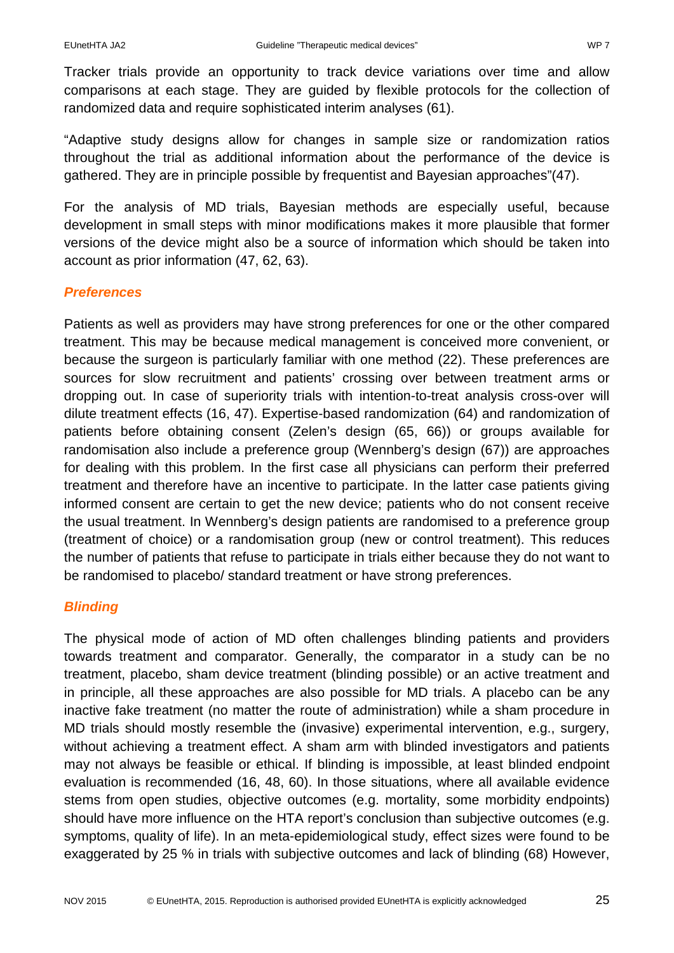Tracker trials provide an opportunity to track device variations over time and allow comparisons at each stage. They are guided by flexible protocols for the collection of randomized data and require sophisticated interim analyses (61).

"Adaptive study designs allow for changes in sample size or randomization ratios throughout the trial as additional information about the performance of the device is gathered. They are in principle possible by frequentist and Bayesian approaches"(47).

For the analysis of MD trials, Bayesian methods are especially useful, because development in small steps with minor modifications makes it more plausible that former versions of the device might also be a source of information which should be taken into account as prior information (47, 62, 63).

# *Preferences*

Patients as well as providers may have strong preferences for one or the other compared treatment. This may be because medical management is conceived more convenient, or because the surgeon is particularly familiar with one method (22). These preferences are sources for slow recruitment and patients' crossing over between treatment arms or dropping out. In case of superiority trials with intention-to-treat analysis cross-over will dilute treatment effects (16, 47). Expertise-based randomization (64) and randomization of patients before obtaining consent (Zelen's design (65, 66)) or groups available for randomisation also include a preference group (Wennberg's design (67)) are approaches for dealing with this problem. In the first case all physicians can perform their preferred treatment and therefore have an incentive to participate. In the latter case patients giving informed consent are certain to get the new device; patients who do not consent receive the usual treatment. In Wennberg's design patients are randomised to a preference group (treatment of choice) or a randomisation group (new or control treatment). This reduces the number of patients that refuse to participate in trials either because they do not want to be randomised to placebo/ standard treatment or have strong preferences.

# *Blinding*

The physical mode of action of MD often challenges blinding patients and providers towards treatment and comparator. Generally, the comparator in a study can be no treatment, placebo, sham device treatment (blinding possible) or an active treatment and in principle, all these approaches are also possible for MD trials. A placebo can be any inactive fake treatment (no matter the route of administration) while a sham procedure in MD trials should mostly resemble the (invasive) experimental intervention, e.g., surgery, without achieving a treatment effect. A sham arm with blinded investigators and patients may not always be feasible or ethical. If blinding is impossible, at least blinded endpoint evaluation is recommended (16, 48, 60). In those situations, where all available evidence stems from open studies, objective outcomes (e.g. mortality, some morbidity endpoints) should have more influence on the HTA report's conclusion than subjective outcomes (e.g. symptoms, quality of life). In an meta-epidemiological study, effect sizes were found to be exaggerated by 25 % in trials with subjective outcomes and lack of blinding (68) However,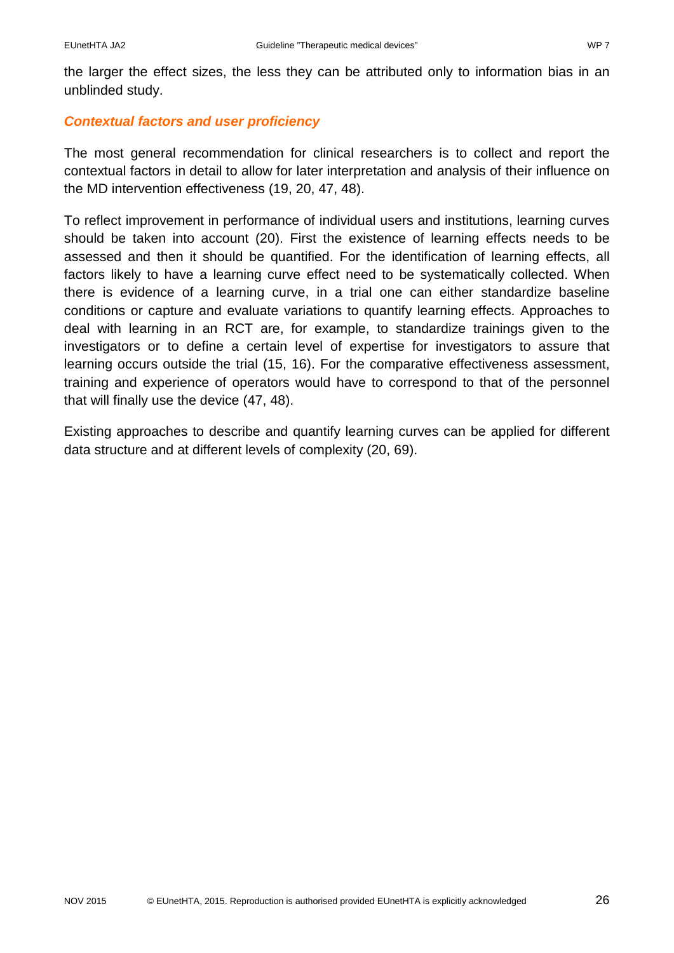the larger the effect sizes, the less they can be attributed only to information bias in an unblinded study.

# *Contextual factors and user proficiency*

The most general recommendation for clinical researchers is to collect and report the contextual factors in detail to allow for later interpretation and analysis of their influence on the MD intervention effectiveness (19, 20, 47, 48).

To reflect improvement in performance of individual users and institutions, learning curves should be taken into account (20). First the existence of learning effects needs to be assessed and then it should be quantified. For the identification of learning effects, all factors likely to have a learning curve effect need to be systematically collected. When there is evidence of a learning curve, in a trial one can either standardize baseline conditions or capture and evaluate variations to quantify learning effects. Approaches to deal with learning in an RCT are, for example, to standardize trainings given to the investigators or to define a certain level of expertise for investigators to assure that learning occurs outside the trial (15, 16). For the comparative effectiveness assessment, training and experience of operators would have to correspond to that of the personnel that will finally use the device (47, 48).

Existing approaches to describe and quantify learning curves can be applied for different data structure and at different levels of complexity (20, 69).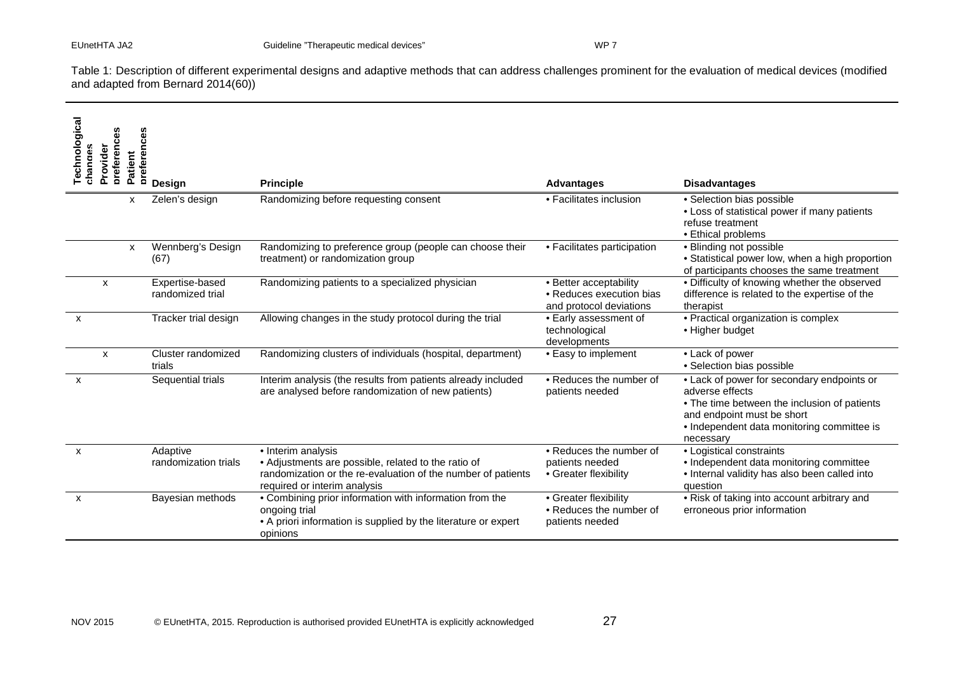Table 1: Description of different experimental designs and adaptive methods that can address challenges prominent for the evaluation of medical devices (modified and adapted from Bernard 2014(60))

| <b>Technological</b><br>oreferences<br>Provider<br>changes<br>atient<br>n. | preferences<br>Design               | <b>Principle</b>                                                                                                                                                          | <b>Advantages</b>                                                             | <b>Disadvantages</b>                                                                                                                                                                                   |
|----------------------------------------------------------------------------|-------------------------------------|---------------------------------------------------------------------------------------------------------------------------------------------------------------------------|-------------------------------------------------------------------------------|--------------------------------------------------------------------------------------------------------------------------------------------------------------------------------------------------------|
| X                                                                          | Zelen's design                      | Randomizing before requesting consent                                                                                                                                     | • Facilitates inclusion                                                       | · Selection bias possible<br>• Loss of statistical power if many patients<br>refuse treatment<br>• Ethical problems                                                                                    |
| X                                                                          | Wennberg's Design<br>(67)           | Randomizing to preference group (people can choose their<br>treatment) or randomization group                                                                             | • Facilitates participation                                                   | • Blinding not possible<br>• Statistical power low, when a high proportion<br>of participants chooses the same treatment                                                                               |
| X                                                                          | Expertise-based<br>randomized trial | Randomizing patients to a specialized physician                                                                                                                           | • Better acceptability<br>• Reduces execution bias<br>and protocol deviations | • Difficulty of knowing whether the observed<br>difference is related to the expertise of the<br>therapist                                                                                             |
| $\mathsf{x}$                                                               | Tracker trial design                | Allowing changes in the study protocol during the trial                                                                                                                   | • Early assessment of<br>technological<br>developments                        | • Practical organization is complex<br>• Higher budget                                                                                                                                                 |
| X                                                                          | Cluster randomized<br>trials        | Randomizing clusters of individuals (hospital, department)                                                                                                                | • Easy to implement                                                           | • Lack of power<br>· Selection bias possible                                                                                                                                                           |
| X                                                                          | Sequential trials                   | Interim analysis (the results from patients already included<br>are analysed before randomization of new patients)                                                        | • Reduces the number of<br>patients needed                                    | • Lack of power for secondary endpoints or<br>adverse effects<br>• The time between the inclusion of patients<br>and endpoint must be short<br>• Independent data monitoring committee is<br>necessary |
| $\mathsf{x}$                                                               | Adaptive<br>randomization trials    | • Interim analysis<br>• Adjustments are possible, related to the ratio of<br>randomization or the re-evaluation of the number of patients<br>required or interim analysis | • Reduces the number of<br>patients needed<br>• Greater flexibility           | • Logistical constraints<br>• Independent data monitoring committee<br>• Internal validity has also been called into<br>question                                                                       |
| X                                                                          | Bayesian methods                    | • Combining prior information with information from the<br>ongoing trial<br>• A priori information is supplied by the literature or expert<br>opinions                    | • Greater flexibility<br>• Reduces the number of<br>patients needed           | • Risk of taking into account arbitrary and<br>erroneous prior information                                                                                                                             |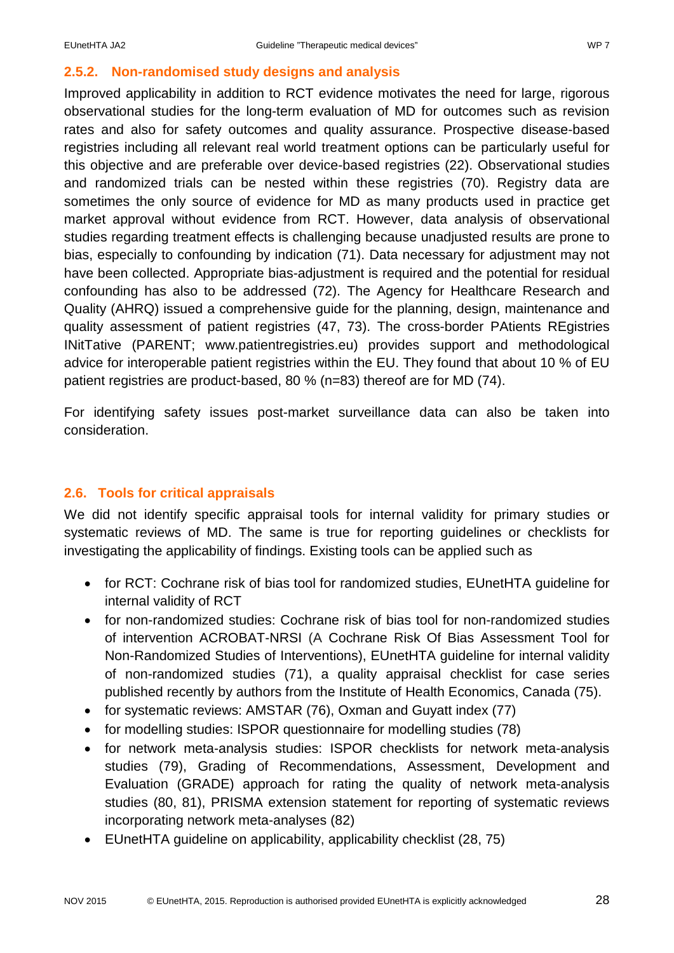# <span id="page-28-0"></span>**2.5.2. Non-randomised study designs and analysis**

Improved applicability in addition to RCT evidence motivates the need for large, rigorous observational studies for the long-term evaluation of MD for outcomes such as revision rates and also for safety outcomes and quality assurance. Prospective disease-based registries including all relevant real world treatment options can be particularly useful for this objective and are preferable over device-based registries (22). Observational studies and randomized trials can be nested within these registries (70). Registry data are sometimes the only source of evidence for MD as many products used in practice get market approval without evidence from RCT. However, data analysis of observational studies regarding treatment effects is challenging because unadjusted results are prone to bias, especially to confounding by indication (71). Data necessary for adjustment may not have been collected. Appropriate bias-adjustment is required and the potential for residual confounding has also to be addressed (72). The Agency for Healthcare Research and Quality (AHRQ) issued a comprehensive guide for the planning, design, maintenance and quality assessment of patient registries (47, 73). The cross-border PAtients REgistries INitTative (PARENT; www.patientregistries.eu) provides support and methodological advice for interoperable patient registries within the EU. They found that about 10 % of EU patient registries are product-based, 80 % (n=83) thereof are for MD (74).

For identifying safety issues post-market surveillance data can also be taken into consideration.

# <span id="page-28-1"></span>**2.6. Tools for critical appraisals**

We did not identify specific appraisal tools for internal validity for primary studies or systematic reviews of MD. The same is true for reporting guidelines or checklists for investigating the applicability of findings. Existing tools can be applied such as

- for RCT: Cochrane risk of bias tool for randomized studies, EUnetHTA guideline for internal validity of RCT
- for non-randomized studies: Cochrane risk of bias tool for non-randomized studies of intervention ACROBAT-NRSI (A Cochrane Risk Of Bias Assessment Tool for Non-Randomized Studies of Interventions), EUnetHTA guideline for internal validity of non-randomized studies (71), a quality appraisal checklist for case series published recently by authors from the Institute of Health Economics, Canada (75).
- for systematic reviews: AMSTAR (76), Oxman and Guyatt index (77)
- for modelling studies: ISPOR questionnaire for modelling studies (78)
- for network meta-analysis studies: ISPOR checklists for network meta-analysis studies (79), Grading of Recommendations, Assessment, Development and Evaluation (GRADE) approach for rating the quality of network meta-analysis studies (80, 81), PRISMA extension statement for reporting of systematic reviews incorporating network meta-analyses (82)
- EUnetHTA guideline on applicability, applicability checklist (28, 75)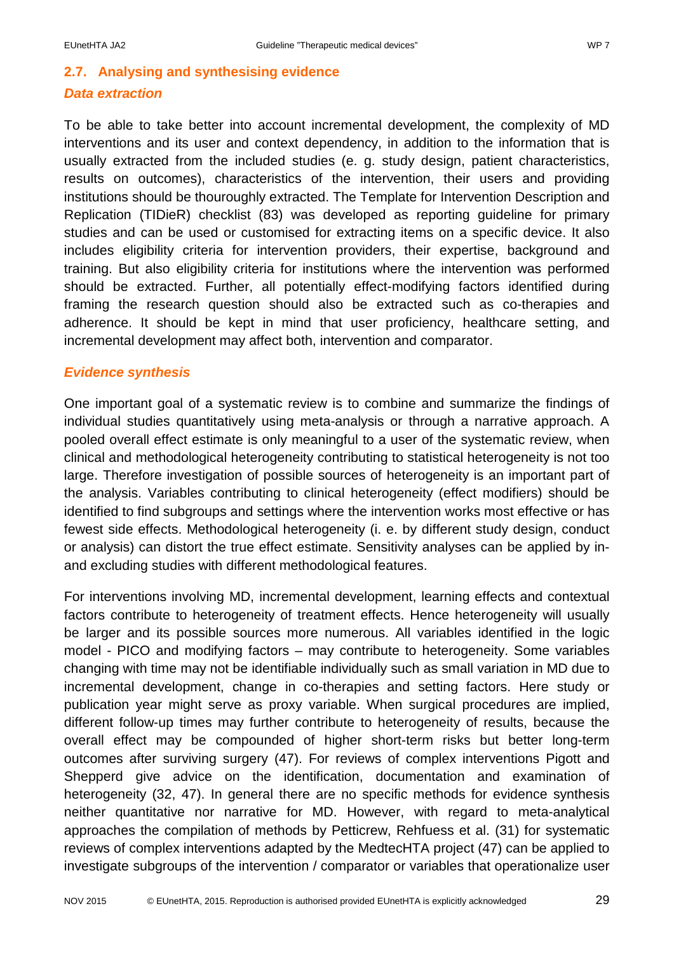# <span id="page-29-0"></span>**2.7. Analysing and synthesising evidence** *Data extraction*

To be able to take better into account incremental development, the complexity of MD interventions and its user and context dependency, in addition to the information that is usually extracted from the included studies (e. g. study design, patient characteristics, results on outcomes), characteristics of the intervention, their users and providing institutions should be thouroughly extracted. The Template for Intervention Description and Replication (TIDieR) checklist (83) was developed as reporting guideline for primary studies and can be used or customised for extracting items on a specific device. It also includes eligibility criteria for intervention providers, their expertise, background and training. But also eligibility criteria for institutions where the intervention was performed should be extracted. Further, all potentially effect-modifying factors identified during framing the research question should also be extracted such as co-therapies and adherence. It should be kept in mind that user proficiency, healthcare setting, and incremental development may affect both, intervention and comparator.

### *Evidence synthesis*

One important goal of a systematic review is to combine and summarize the findings of individual studies quantitatively using meta-analysis or through a narrative approach. A pooled overall effect estimate is only meaningful to a user of the systematic review, when clinical and methodological heterogeneity contributing to statistical heterogeneity is not too large. Therefore investigation of possible sources of heterogeneity is an important part of the analysis. Variables contributing to clinical heterogeneity (effect modifiers) should be identified to find subgroups and settings where the intervention works most effective or has fewest side effects. Methodological heterogeneity (i. e. by different study design, conduct or analysis) can distort the true effect estimate. Sensitivity analyses can be applied by inand excluding studies with different methodological features.

For interventions involving MD, incremental development, learning effects and contextual factors contribute to heterogeneity of treatment effects. Hence heterogeneity will usually be larger and its possible sources more numerous. All variables identified in the logic model - PICO and modifying factors – may contribute to heterogeneity. Some variables changing with time may not be identifiable individually such as small variation in MD due to incremental development, change in co-therapies and setting factors. Here study or publication year might serve as proxy variable. When surgical procedures are implied, different follow-up times may further contribute to heterogeneity of results, because the overall effect may be compounded of higher short-term risks but better long-term outcomes after surviving surgery (47). For reviews of complex interventions Pigott and Shepperd give advice on the identification, documentation and examination of heterogeneity (32, 47). In general there are no specific methods for evidence synthesis neither quantitative nor narrative for MD. However, with regard to meta-analytical approaches the compilation of methods by Petticrew, Rehfuess et al. (31) for systematic reviews of complex interventions adapted by the MedtecHTA project (47) can be applied to investigate subgroups of the intervention / comparator or variables that operationalize user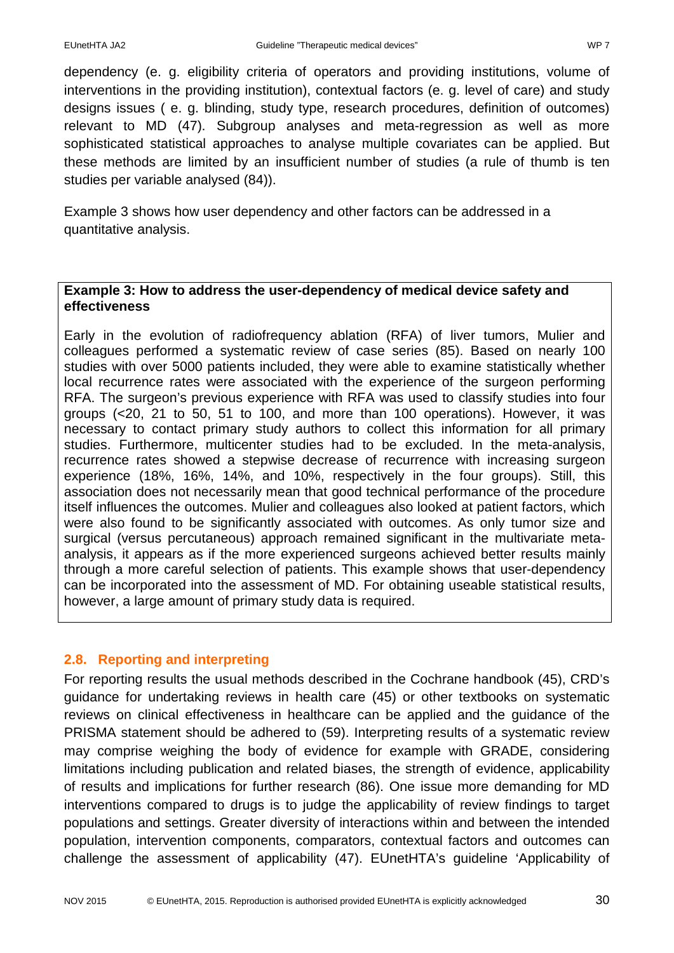dependency (e. g. eligibility criteria of operators and providing institutions, volume of interventions in the providing institution), contextual factors (e. g. level of care) and study designs issues ( e. g. blinding, study type, research procedures, definition of outcomes) relevant to MD (47). Subgroup analyses and meta-regression as well as more sophisticated statistical approaches to analyse multiple covariates can be applied. But these methods are limited by an insufficient number of studies (a rule of thumb is ten studies per variable analysed (84)).

Example 3 shows how user dependency and other factors can be addressed in a quantitative analysis.

### **Example 3: How to address the user-dependency of medical device safety and effectiveness**

Early in the evolution of radiofrequency ablation (RFA) of liver tumors, Mulier and colleagues performed a systematic review of case series (85). Based on nearly 100 studies with over 5000 patients included, they were able to examine statistically whether local recurrence rates were associated with the experience of the surgeon performing RFA. The surgeon's previous experience with RFA was used to classify studies into four groups (<20, 21 to 50, 51 to 100, and more than 100 operations). However, it was necessary to contact primary study authors to collect this information for all primary studies. Furthermore, multicenter studies had to be excluded. In the meta-analysis, recurrence rates showed a stepwise decrease of recurrence with increasing surgeon experience (18%, 16%, 14%, and 10%, respectively in the four groups). Still, this association does not necessarily mean that good technical performance of the procedure itself influences the outcomes. Mulier and colleagues also looked at patient factors, which were also found to be significantly associated with outcomes. As only tumor size and surgical (versus percutaneous) approach remained significant in the multivariate metaanalysis, it appears as if the more experienced surgeons achieved better results mainly through a more careful selection of patients. This example shows that user-dependency can be incorporated into the assessment of MD. For obtaining useable statistical results, however, a large amount of primary study data is required.

# <span id="page-30-0"></span>**2.8. Reporting and interpreting**

For reporting results the usual methods described in the Cochrane handbook (45), CRD's guidance for undertaking reviews in health care (45) or other textbooks on systematic reviews on clinical effectiveness in healthcare can be applied and the guidance of the PRISMA statement should be adhered to (59). Interpreting results of a systematic review may comprise weighing the body of evidence for example with GRADE, considering limitations including publication and related biases, the strength of evidence, applicability of results and implications for further research (86). One issue more demanding for MD interventions compared to drugs is to judge the applicability of review findings to target populations and settings. Greater diversity of interactions within and between the intended population, intervention components, comparators, contextual factors and outcomes can challenge the assessment of applicability (47). EUnetHTA's guideline 'Applicability of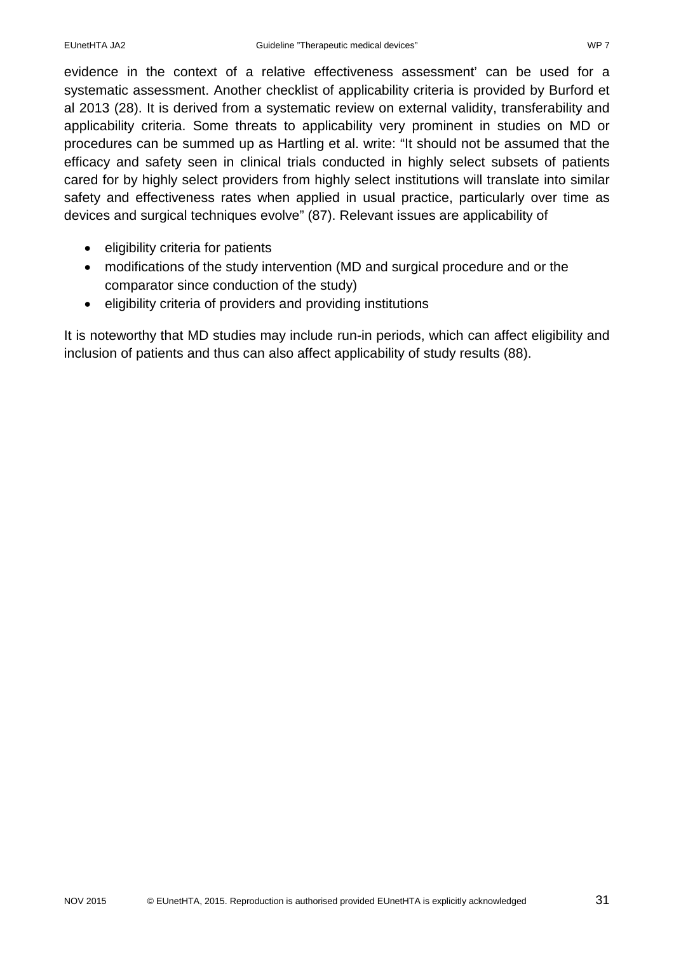evidence in the context of a relative effectiveness assessment' can be used for a systematic assessment. Another checklist of applicability criteria is provided by Burford et al 2013 (28). It is derived from a systematic review on external validity, transferability and applicability criteria. Some threats to applicability very prominent in studies on MD or procedures can be summed up as Hartling et al. write: "It should not be assumed that the efficacy and safety seen in clinical trials conducted in highly select subsets of patients cared for by highly select providers from highly select institutions will translate into similar safety and effectiveness rates when applied in usual practice, particularly over time as devices and surgical techniques evolve" (87). Relevant issues are applicability of

- eligibility criteria for patients
- modifications of the study intervention (MD and surgical procedure and or the comparator since conduction of the study)
- eligibility criteria of providers and providing institutions

It is noteworthy that MD studies may include run-in periods, which can affect eligibility and inclusion of patients and thus can also affect applicability of study results (88).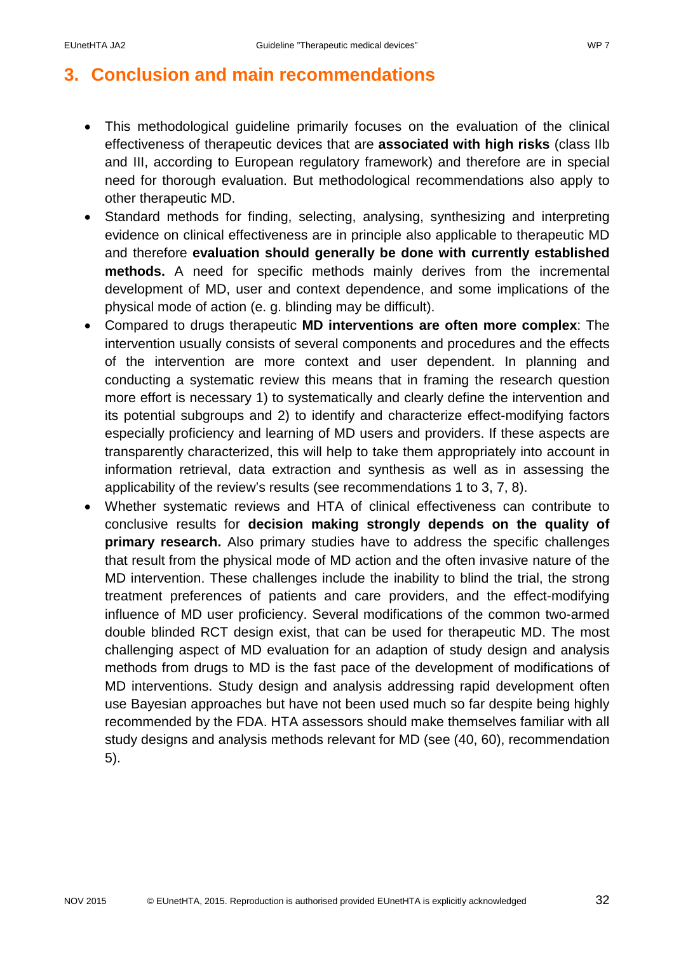# <span id="page-32-0"></span>**3. Conclusion and main recommendations**

- This methodological guideline primarily focuses on the evaluation of the clinical effectiveness of therapeutic devices that are **associated with high risks** (class IIb and III, according to European regulatory framework) and therefore are in special need for thorough evaluation. But methodological recommendations also apply to other therapeutic MD.
- Standard methods for finding, selecting, analysing, synthesizing and interpreting evidence on clinical effectiveness are in principle also applicable to therapeutic MD and therefore **evaluation should generally be done with currently established methods.** A need for specific methods mainly derives from the incremental development of MD, user and context dependence, and some implications of the physical mode of action (e. g. blinding may be difficult).
- Compared to drugs therapeutic **MD interventions are often more complex**: The intervention usually consists of several components and procedures and the effects of the intervention are more context and user dependent. In planning and conducting a systematic review this means that in framing the research question more effort is necessary 1) to systematically and clearly define the intervention and its potential subgroups and 2) to identify and characterize effect-modifying factors especially proficiency and learning of MD users and providers. If these aspects are transparently characterized, this will help to take them appropriately into account in information retrieval, data extraction and synthesis as well as in assessing the applicability of the review's results (see recommendations 1 to 3, 7, 8).
- Whether systematic reviews and HTA of clinical effectiveness can contribute to conclusive results for **decision making strongly depends on the quality of primary research.** Also primary studies have to address the specific challenges that result from the physical mode of MD action and the often invasive nature of the MD intervention. These challenges include the inability to blind the trial, the strong treatment preferences of patients and care providers, and the effect-modifying influence of MD user proficiency. Several modifications of the common two-armed double blinded RCT design exist, that can be used for therapeutic MD. The most challenging aspect of MD evaluation for an adaption of study design and analysis methods from drugs to MD is the fast pace of the development of modifications of MD interventions. Study design and analysis addressing rapid development often use Bayesian approaches but have not been used much so far despite being highly recommended by the FDA. HTA assessors should make themselves familiar with all study designs and analysis methods relevant for MD (see (40, 60), recommendation 5).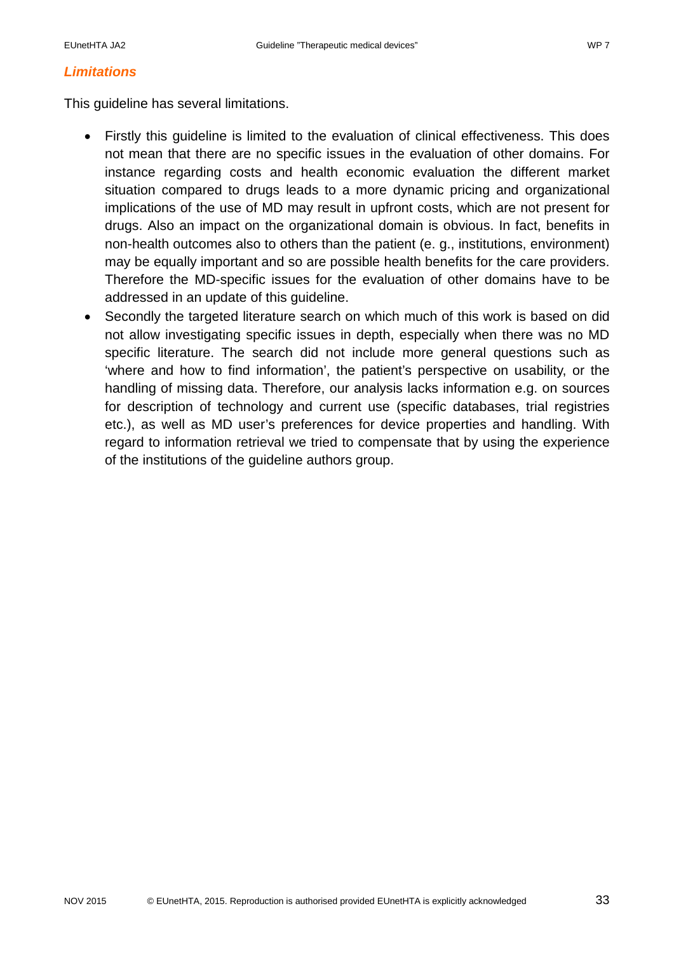#### *Limitations*

This guideline has several limitations.

- Firstly this guideline is limited to the evaluation of clinical effectiveness. This does not mean that there are no specific issues in the evaluation of other domains. For instance regarding costs and health economic evaluation the different market situation compared to drugs leads to a more dynamic pricing and organizational implications of the use of MD may result in upfront costs, which are not present for drugs. Also an impact on the organizational domain is obvious. In fact, benefits in non-health outcomes also to others than the patient (e. g., institutions, environment) may be equally important and so are possible health benefits for the care providers. Therefore the MD-specific issues for the evaluation of other domains have to be addressed in an update of this guideline.
- Secondly the targeted literature search on which much of this work is based on did not allow investigating specific issues in depth, especially when there was no MD specific literature. The search did not include more general questions such as 'where and how to find information', the patient's perspective on usability, or the handling of missing data. Therefore, our analysis lacks information e.g. on sources for description of technology and current use (specific databases, trial registries etc.), as well as MD user's preferences for device properties and handling. With regard to information retrieval we tried to compensate that by using the experience of the institutions of the guideline authors group.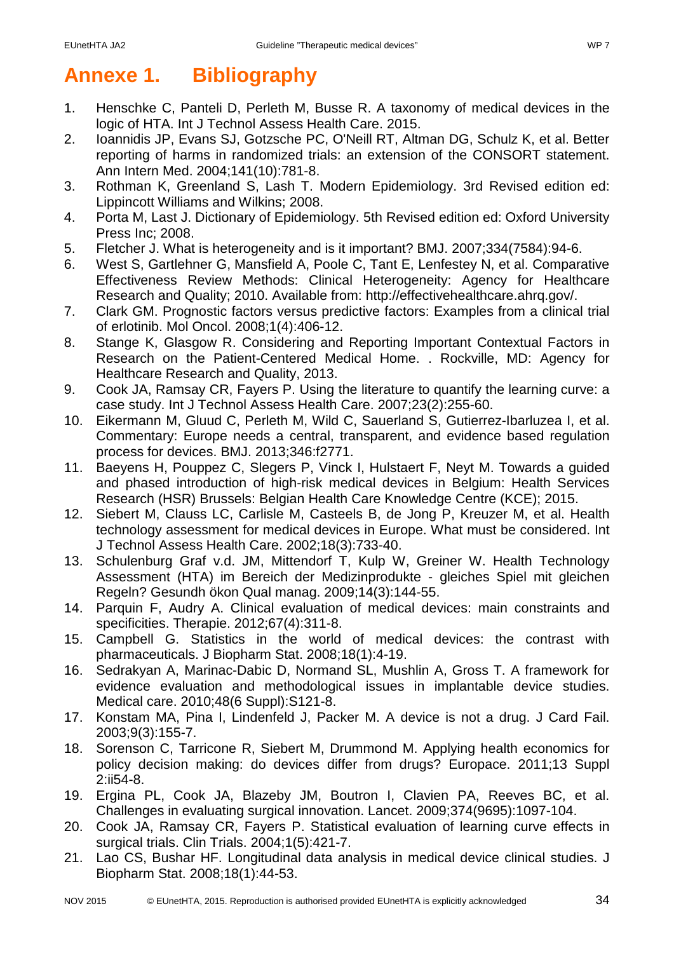# <span id="page-34-0"></span>**Annexe 1. Bibliography**

- 1. Henschke C, Panteli D, Perleth M, Busse R. A taxonomy of medical devices in the logic of HTA. Int J Technol Assess Health Care. 2015.
- 2. Ioannidis JP, Evans SJ, Gotzsche PC, O'Neill RT, Altman DG, Schulz K, et al. Better reporting of harms in randomized trials: an extension of the CONSORT statement. Ann Intern Med. 2004;141(10):781-8.
- 3. Rothman K, Greenland S, Lash T. Modern Epidemiology. 3rd Revised edition ed: Lippincott Williams and Wilkins; 2008.
- 4. Porta M, Last J. Dictionary of Epidemiology. 5th Revised edition ed: Oxford University Press Inc; 2008.
- 5. Fletcher J. What is heterogeneity and is it important? BMJ. 2007;334(7584):94-6.
- 6. West S, Gartlehner G, Mansfield A, Poole C, Tant E, Lenfestey N, et al. Comparative Effectiveness Review Methods: Clinical Heterogeneity: Agency for Healthcare Research and Quality; 2010. Available from: http://effectivehealthcare.ahrq.gov/.
- 7. Clark GM. Prognostic factors versus predictive factors: Examples from a clinical trial of erlotinib. Mol Oncol. 2008;1(4):406-12.
- 8. Stange K, Glasgow R. Considering and Reporting Important Contextual Factors in Research on the Patient-Centered Medical Home. . Rockville, MD: Agency for Healthcare Research and Quality, 2013.
- 9. Cook JA, Ramsay CR, Fayers P. Using the literature to quantify the learning curve: a case study. Int J Technol Assess Health Care. 2007;23(2):255-60.
- 10. Eikermann M, Gluud C, Perleth M, Wild C, Sauerland S, Gutierrez-Ibarluzea I, et al. Commentary: Europe needs a central, transparent, and evidence based regulation process for devices. BMJ. 2013;346:f2771.
- 11. Baeyens H, Pouppez C, Slegers P, Vinck I, Hulstaert F, Neyt M. Towards a guided and phased introduction of high-risk medical devices in Belgium: Health Services Research (HSR) Brussels: Belgian Health Care Knowledge Centre (KCE); 2015.
- 12. Siebert M, Clauss LC, Carlisle M, Casteels B, de Jong P, Kreuzer M, et al. Health technology assessment for medical devices in Europe. What must be considered. Int J Technol Assess Health Care. 2002;18(3):733-40.
- 13. Schulenburg Graf v.d. JM, Mittendorf T, Kulp W, Greiner W. Health Technology Assessment (HTA) im Bereich der Medizinprodukte - gleiches Spiel mit gleichen Regeln? Gesundh ökon Qual manag. 2009;14(3):144-55.
- 14. Parquin F, Audry A. Clinical evaluation of medical devices: main constraints and specificities. Therapie. 2012;67(4):311-8.
- 15. Campbell G. Statistics in the world of medical devices: the contrast with pharmaceuticals. J Biopharm Stat. 2008;18(1):4-19.
- 16. Sedrakyan A, Marinac-Dabic D, Normand SL, Mushlin A, Gross T. A framework for evidence evaluation and methodological issues in implantable device studies. Medical care. 2010;48(6 Suppl):S121-8.
- 17. Konstam MA, Pina I, Lindenfeld J, Packer M. A device is not a drug. J Card Fail. 2003;9(3):155-7.
- 18. Sorenson C, Tarricone R, Siebert M, Drummond M. Applying health economics for policy decision making: do devices differ from drugs? Europace. 2011;13 Suppl 2:ii54-8.
- 19. Ergina PL, Cook JA, Blazeby JM, Boutron I, Clavien PA, Reeves BC, et al. Challenges in evaluating surgical innovation. Lancet. 2009;374(9695):1097-104.
- 20. Cook JA, Ramsay CR, Fayers P. Statistical evaluation of learning curve effects in surgical trials. Clin Trials. 2004;1(5):421-7.
- 21. Lao CS, Bushar HF. Longitudinal data analysis in medical device clinical studies. J Biopharm Stat. 2008;18(1):44-53.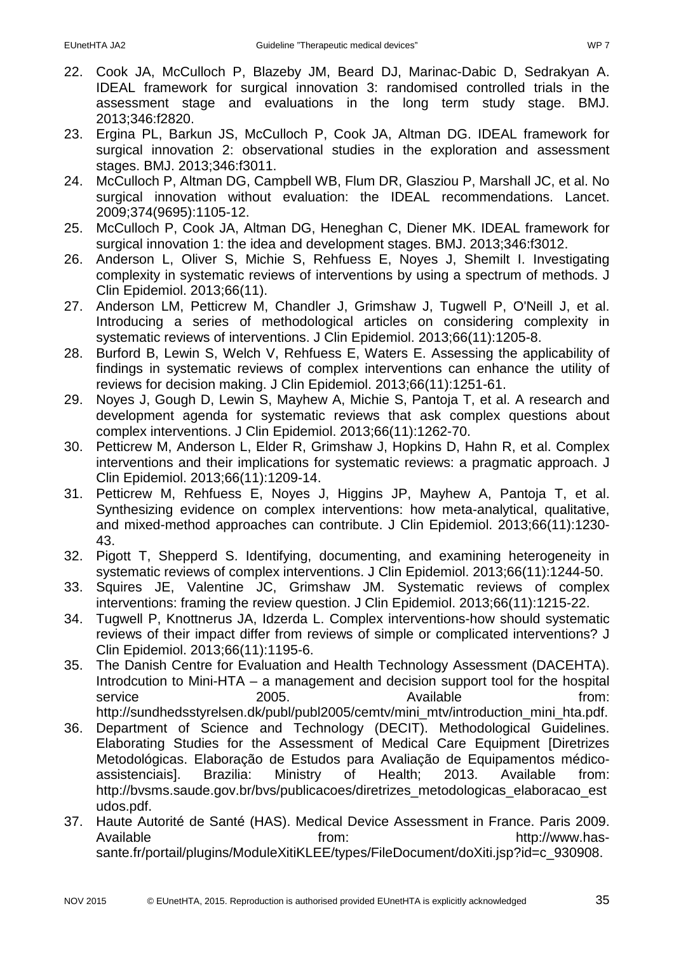- 22. Cook JA, McCulloch P, Blazeby JM, Beard DJ, Marinac-Dabic D, Sedrakyan A. IDEAL framework for surgical innovation 3: randomised controlled trials in the assessment stage and evaluations in the long term study stage. BMJ. 2013;346:f2820.
- 23. Ergina PL, Barkun JS, McCulloch P, Cook JA, Altman DG. IDEAL framework for surgical innovation 2: observational studies in the exploration and assessment stages. BMJ. 2013;346:f3011.
- 24. McCulloch P, Altman DG, Campbell WB, Flum DR, Glasziou P, Marshall JC, et al. No surgical innovation without evaluation: the IDEAL recommendations. Lancet. 2009;374(9695):1105-12.
- 25. McCulloch P, Cook JA, Altman DG, Heneghan C, Diener MK. IDEAL framework for surgical innovation 1: the idea and development stages. BMJ. 2013;346:f3012.
- 26. Anderson L, Oliver S, Michie S, Rehfuess E, Noyes J, Shemilt I. Investigating complexity in systematic reviews of interventions by using a spectrum of methods. J Clin Epidemiol. 2013;66(11).
- 27. Anderson LM, Petticrew M, Chandler J, Grimshaw J, Tugwell P, O'Neill J, et al. Introducing a series of methodological articles on considering complexity in systematic reviews of interventions. J Clin Epidemiol. 2013;66(11):1205-8.
- 28. Burford B, Lewin S, Welch V, Rehfuess E, Waters E. Assessing the applicability of findings in systematic reviews of complex interventions can enhance the utility of reviews for decision making. J Clin Epidemiol. 2013;66(11):1251-61.
- 29. Noyes J, Gough D, Lewin S, Mayhew A, Michie S, Pantoja T, et al. A research and development agenda for systematic reviews that ask complex questions about complex interventions. J Clin Epidemiol. 2013;66(11):1262-70.
- 30. Petticrew M, Anderson L, Elder R, Grimshaw J, Hopkins D, Hahn R, et al. Complex interventions and their implications for systematic reviews: a pragmatic approach. J Clin Epidemiol. 2013;66(11):1209-14.
- 31. Petticrew M, Rehfuess E, Noyes J, Higgins JP, Mayhew A, Pantoja T, et al. Synthesizing evidence on complex interventions: how meta-analytical, qualitative, and mixed-method approaches can contribute. J Clin Epidemiol. 2013;66(11):1230- 43.
- 32. Pigott T, Shepperd S. Identifying, documenting, and examining heterogeneity in systematic reviews of complex interventions. J Clin Epidemiol. 2013;66(11):1244-50.
- 33. Squires JE, Valentine JC, Grimshaw JM. Systematic reviews of complex interventions: framing the review question. J Clin Epidemiol. 2013;66(11):1215-22.
- 34. Tugwell P, Knottnerus JA, Idzerda L. Complex interventions-how should systematic reviews of their impact differ from reviews of simple or complicated interventions? J Clin Epidemiol. 2013;66(11):1195-6.
- 35. The Danish Centre for Evaluation and Health Technology Assessment (DACEHTA). Introdcution to Mini-HTA – a management and decision support tool for the hospital service 2005. Available **notice** from: http://sundhedsstyrelsen.dk/publ/publ2005/cemty/mini\_mty/introduction\_mini\_hta.pdf.
- 36. Department of Science and Technology (DECIT). Methodological Guidelines. Elaborating Studies for the Assessment of Medical Care Equipment [Diretrizes Metodológicas. Elaboração de Estudos para Avaliação de Equipamentos médicoassistenciais]. Brazilia: Ministry of Health; 2013. Available from: http://bysms.saude.gov.br/bys/publicacoes/diretrizes\_metodologicas\_elaboracao\_est udos.pdf.
- 37. Haute Autorité de Santé (HAS). Medical Device Assessment in France. Paris 2009. Available **from:** http://www.hassante.fr/portail/plugins/ModuleXitiKLEE/types/FileDocument/doXiti.jsp?id=c\_930908.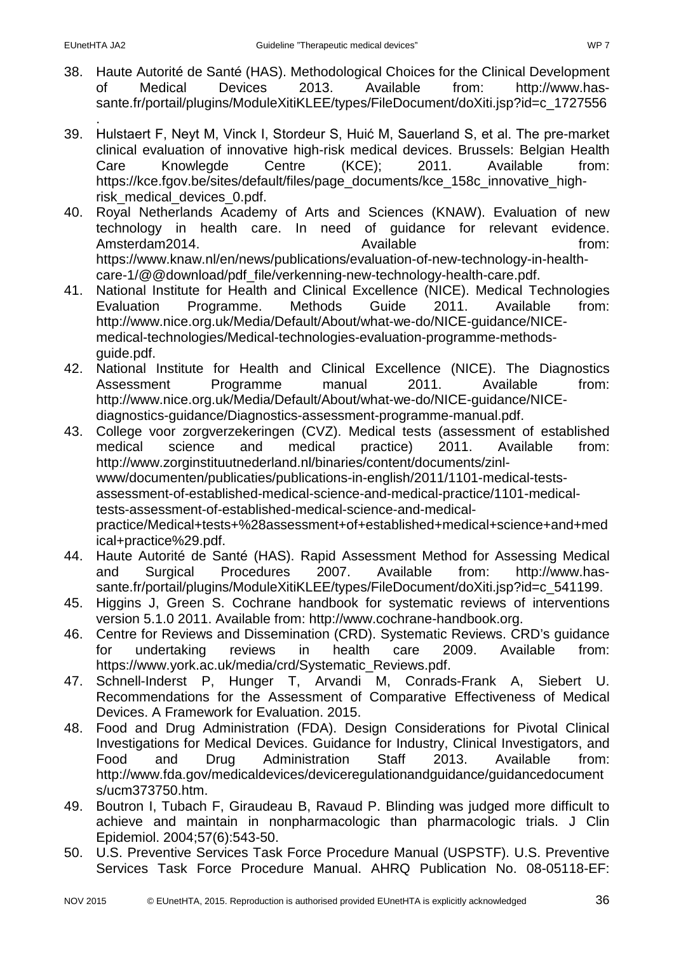- 38. Haute Autorité de Santé (HAS). Methodological Choices for the Clinical Development of Medical Devices 2013. Available from: http://www.hassante.fr/portail/plugins/ModuleXitiKLEE/types/FileDocument/doXiti.jsp?id=c\_1727556
- . 39. Hulstaert F, Neyt M, Vinck I, Stordeur S, Huić M, Sauerland S, et al. The pre-market clinical evaluation of innovative high-risk medical devices. Brussels: Belgian Health Care Knowlegde Centre (KCE); 2011. Available from: https://kce.fgov.be/sites/default/files/page\_documents/kce\_158c\_innovative\_highrisk\_medical\_devices\_0.pdf.
- 40. Royal Netherlands Academy of Arts and Sciences (KNAW). Evaluation of new technology in health care. In need of guidance for relevant evidence. Amsterdam2014. Available from: https://www.knaw.nl/en/news/publications/evaluation-of-new-technology-in-healthcare-1/@@download/pdf\_file/verkenning-new-technology-health-care.pdf.
- 41. National Institute for Health and Clinical Excellence (NICE). Medical Technologies Evaluation Programme. Methods Guide 2011. Available from: http://www.nice.org.uk/Media/Default/About/what-we-do/NICE-guidance/NICEmedical-technologies/Medical-technologies-evaluation-programme-methodsguide.pdf.
- 42. National Institute for Health and Clinical Excellence (NICE). The Diagnostics Assessment Programme manual 2011. Available from: http://www.nice.org.uk/Media/Default/About/what-we-do/NICE-guidance/NICEdiagnostics-guidance/Diagnostics-assessment-programme-manual.pdf.
- 43. College voor zorgverzekeringen (CVZ). Medical tests (assessment of established medical science and medical practice) 2011. Available from: http://www.zorginstituutnederland.nl/binaries/content/documents/zinlwww/documenten/publicaties/publications-in-english/2011/1101-medical-testsassessment-of-established-medical-science-and-medical-practice/1101-medicaltests-assessment-of-established-medical-science-and-medicalpractice/Medical+tests+%28assessment+of+established+medical+science+and+med ical+practice%29.pdf.
- 44. Haute Autorité de Santé (HAS). Rapid Assessment Method for Assessing Medical and Surgical Procedures 2007. Available from: http://www.hassante.fr/portail/plugins/ModuleXitiKLEE/types/FileDocument/doXiti.jsp?id=c\_541199.
- 45. Higgins J, Green S. Cochrane handbook for systematic reviews of interventions version 5.1.0 2011. Available from: http://www.cochrane-handbook.org.
- 46. Centre for Reviews and Dissemination (CRD). Systematic Reviews. CRD's guidance for undertaking reviews in health care 2009. Available from: https://www.york.ac.uk/media/crd/Systematic\_Reviews.pdf.
- 47. Schnell-Inderst P, Hunger T, Arvandi M, Conrads-Frank A, Siebert U. Recommendations for the Assessment of Comparative Effectiveness of Medical Devices. A Framework for Evaluation. 2015.
- 48. Food and Drug Administration (FDA). Design Considerations for Pivotal Clinical Investigations for Medical Devices. Guidance for Industry, Clinical Investigators, and Food and Drug Administration Staff 2013. Available from: http://www.fda.gov/medicaldevices/deviceregulationandguidance/guidancedocument s/ucm373750.htm.
- 49. Boutron I, Tubach F, Giraudeau B, Ravaud P. Blinding was judged more difficult to achieve and maintain in nonpharmacologic than pharmacologic trials. J Clin Epidemiol. 2004;57(6):543-50.
- 50. U.S. Preventive Services Task Force Procedure Manual (USPSTF). U.S. Preventive Services Task Force Procedure Manual. AHRQ Publication No. 08-05118-EF: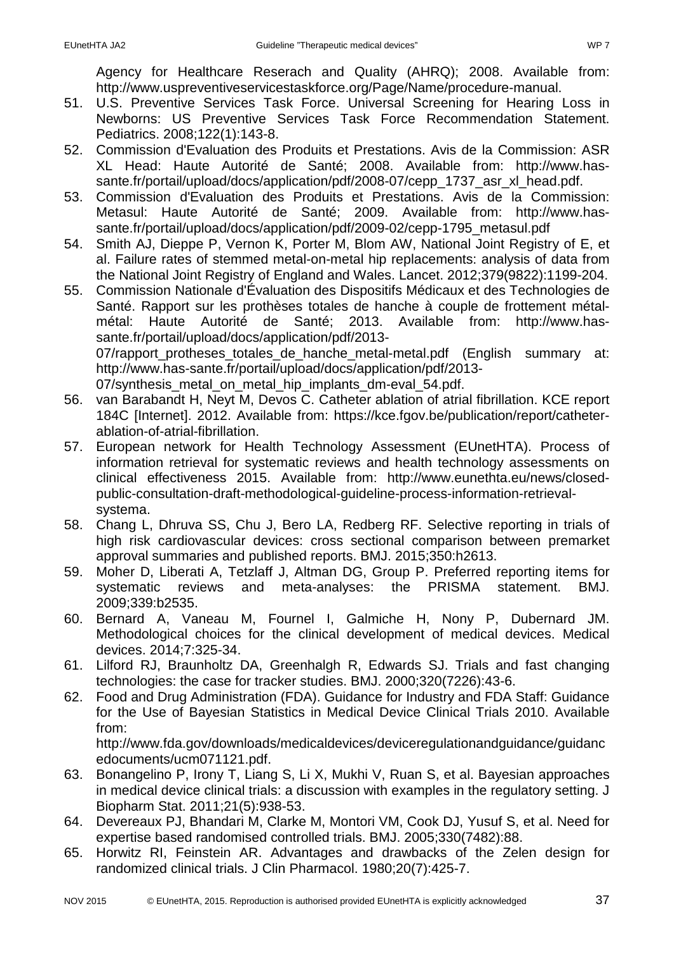Agency for Healthcare Reserach and Quality (AHRQ); 2008. Available from: http://www.uspreventiveservicestaskforce.org/Page/Name/procedure-manual.

- 51. U.S. Preventive Services Task Force. Universal Screening for Hearing Loss in Newborns: US Preventive Services Task Force Recommendation Statement. Pediatrics. 2008;122(1):143-8.
- 52. Commission d'Evaluation des Produits et Prestations. Avis de la Commission: ASR XL Head: Haute Autorité de Santé; 2008. Available from: http://www.hassante.fr/portail/upload/docs/application/pdf/2008-07/cepp\_1737\_asr\_xl\_head.pdf.
- 53. Commission d'Evaluation des Produits et Prestations. Avis de la Commission: Metasul: Haute Autorité de Santé; 2009. Available from: http://www.hassante.fr/portail/upload/docs/application/pdf/2009-02/cepp-1795\_metasul.pdf
- 54. Smith AJ, Dieppe P, Vernon K, Porter M, Blom AW, National Joint Registry of E, et al. Failure rates of stemmed metal-on-metal hip replacements: analysis of data from the National Joint Registry of England and Wales. Lancet. 2012;379(9822):1199-204.
- 55. Commission Nationale d'Évaluation des Dispositifs Médicaux et des Technologies de Santé. Rapport sur les prothèses totales de hanche à couple de frottement métalmétal: Haute Autorité de Santé; 2013. Available from: http://www.hassante.fr/portail/upload/docs/application/pdf/2013- 07/rapport protheses totales de hanche metal-metal.pdf (English summary at: http://www.has-sante.fr/portail/upload/docs/application/pdf/2013- 07/synthesis metal on metal hip implants dm-eval 54.pdf.
- 56. van Barabandt H, Neyt M, Devos C. Catheter ablation of atrial fibrillation. KCE report 184C [Internet]. 2012. Available from: https://kce.fgov.be/publication/report/catheterablation-of-atrial-fibrillation.
- 57. European network for Health Technology Assessment (EUnetHTA). Process of information retrieval for systematic reviews and health technology assessments on clinical effectiveness 2015. Available from: http://www.eunethta.eu/news/closedpublic-consultation-draft-methodological-guideline-process-information-retrievalsystema.
- 58. Chang L, Dhruva SS, Chu J, Bero LA, Redberg RF. Selective reporting in trials of high risk cardiovascular devices: cross sectional comparison between premarket approval summaries and published reports. BMJ. 2015;350:h2613.
- 59. Moher D, Liberati A, Tetzlaff J, Altman DG, Group P. Preferred reporting items for systematic reviews and meta-analyses: the PRISMA statement. BMJ. 2009;339:b2535.
- 60. Bernard A, Vaneau M, Fournel I, Galmiche H, Nony P, Dubernard JM. Methodological choices for the clinical development of medical devices. Medical devices. 2014;7:325-34.
- 61. Lilford RJ, Braunholtz DA, Greenhalgh R, Edwards SJ. Trials and fast changing technologies: the case for tracker studies. BMJ. 2000;320(7226):43-6.
- 62. Food and Drug Administration (FDA). Guidance for Industry and FDA Staff: Guidance for the Use of Bayesian Statistics in Medical Device Clinical Trials 2010. Available from:

http://www.fda.gov/downloads/medicaldevices/deviceregulationandguidance/guidanc edocuments/ucm071121.pdf.

- 63. Bonangelino P, Irony T, Liang S, Li X, Mukhi V, Ruan S, et al. Bayesian approaches in medical device clinical trials: a discussion with examples in the regulatory setting. J Biopharm Stat. 2011;21(5):938-53.
- 64. Devereaux PJ, Bhandari M, Clarke M, Montori VM, Cook DJ, Yusuf S, et al. Need for expertise based randomised controlled trials. BMJ. 2005;330(7482):88.
- 65. Horwitz RI, Feinstein AR. Advantages and drawbacks of the Zelen design for randomized clinical trials. J Clin Pharmacol. 1980;20(7):425-7.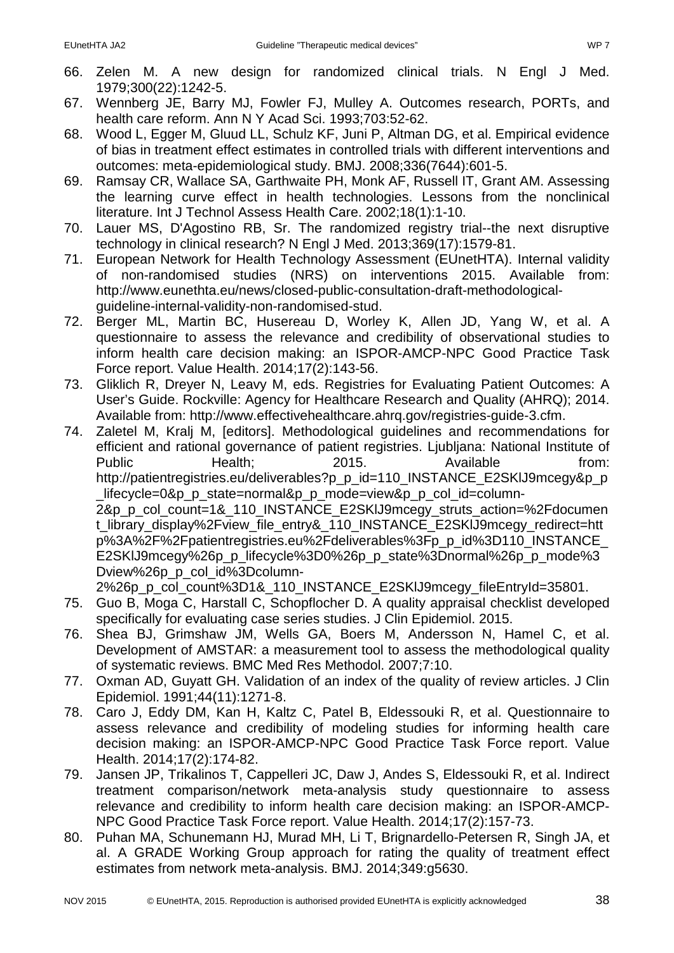- 66. Zelen M. A new design for randomized clinical trials. N Engl J Med. 1979;300(22):1242-5.
- 67. Wennberg JE, Barry MJ, Fowler FJ, Mulley A. Outcomes research, PORTs, and health care reform. Ann N Y Acad Sci. 1993;703:52-62.
- 68. Wood L, Egger M, Gluud LL, Schulz KF, Juni P, Altman DG, et al. Empirical evidence of bias in treatment effect estimates in controlled trials with different interventions and outcomes: meta-epidemiological study. BMJ. 2008;336(7644):601-5.
- 69. Ramsay CR, Wallace SA, Garthwaite PH, Monk AF, Russell IT, Grant AM. Assessing the learning curve effect in health technologies. Lessons from the nonclinical literature. Int J Technol Assess Health Care. 2002;18(1):1-10.
- 70. Lauer MS, D'Agostino RB, Sr. The randomized registry trial--the next disruptive technology in clinical research? N Engl J Med. 2013;369(17):1579-81.
- 71. European Network for Health Technology Assessment (EUnetHTA). Internal validity of non-randomised studies (NRS) on interventions 2015. Available from: http://www.eunethta.eu/news/closed-public-consultation-draft-methodologicalguideline-internal-validity-non-randomised-stud.
- 72. Berger ML, Martin BC, Husereau D, Worley K, Allen JD, Yang W, et al. A questionnaire to assess the relevance and credibility of observational studies to inform health care decision making: an ISPOR-AMCP-NPC Good Practice Task Force report. Value Health. 2014;17(2):143-56.
- 73. Gliklich R, Dreyer N, Leavy M, eds. Registries for Evaluating Patient Outcomes: A User's Guide. Rockville: Agency for Healthcare Research and Quality (AHRQ); 2014. Available from: http://www.effectivehealthcare.ahrq.gov/registries-guide-3.cfm.
- 74. Zaletel M, Kralj M, [editors]. Methodological guidelines and recommendations for efficient and rational governance of patient registries. Ljubljana: National Institute of Public **Health;** 2015. Available from: http://patientregistries.eu/deliverables?p\_p\_id=110\_INSTANCE\_E2SKIJ9mcegy&p\_p lifecycle=0&p p\_state=normal&p\_p\_mode=view&p\_p\_col\_id=column-2&p\_p\_col\_count=1&\_110\_INSTANCE\_E2SKlJ9mcegy\_struts\_action=%2Fdocumen t\_library\_display%2Fview\_file\_entry&\_110\_INSTANCE\_E2SKlJ9mcegy\_redirect=htt p%3A%2F%2Fpatientregistries.eu%2Fdeliverables%3Fp\_p\_id%3D110\_INSTANCE\_ E2SKlJ9mcegy%26p\_p\_lifecycle%3D0%26p\_p\_state%3Dnormal%26p\_p\_mode%3 Dview%26p\_p\_col\_id%3Dcolumn-
	- 2%26p\_p\_col\_count%3D1&\_110\_INSTANCE\_E2SKlJ9mcegy\_fileEntryId=35801.
- 75. Guo B, Moga C, Harstall C, Schopflocher D. A quality appraisal checklist developed specifically for evaluating case series studies. J Clin Epidemiol. 2015.
- 76. Shea BJ, Grimshaw JM, Wells GA, Boers M, Andersson N, Hamel C, et al. Development of AMSTAR: a measurement tool to assess the methodological quality of systematic reviews. BMC Med Res Methodol. 2007;7:10.
- 77. Oxman AD, Guyatt GH. Validation of an index of the quality of review articles. J Clin Epidemiol. 1991;44(11):1271-8.
- 78. Caro J, Eddy DM, Kan H, Kaltz C, Patel B, Eldessouki R, et al. Questionnaire to assess relevance and credibility of modeling studies for informing health care decision making: an ISPOR-AMCP-NPC Good Practice Task Force report. Value Health. 2014;17(2):174-82.
- 79. Jansen JP, Trikalinos T, Cappelleri JC, Daw J, Andes S, Eldessouki R, et al. Indirect treatment comparison/network meta-analysis study questionnaire to assess relevance and credibility to inform health care decision making: an ISPOR-AMCP-NPC Good Practice Task Force report. Value Health. 2014;17(2):157-73.
- 80. Puhan MA, Schunemann HJ, Murad MH, Li T, Brignardello-Petersen R, Singh JA, et al. A GRADE Working Group approach for rating the quality of treatment effect estimates from network meta-analysis. BMJ. 2014;349:g5630.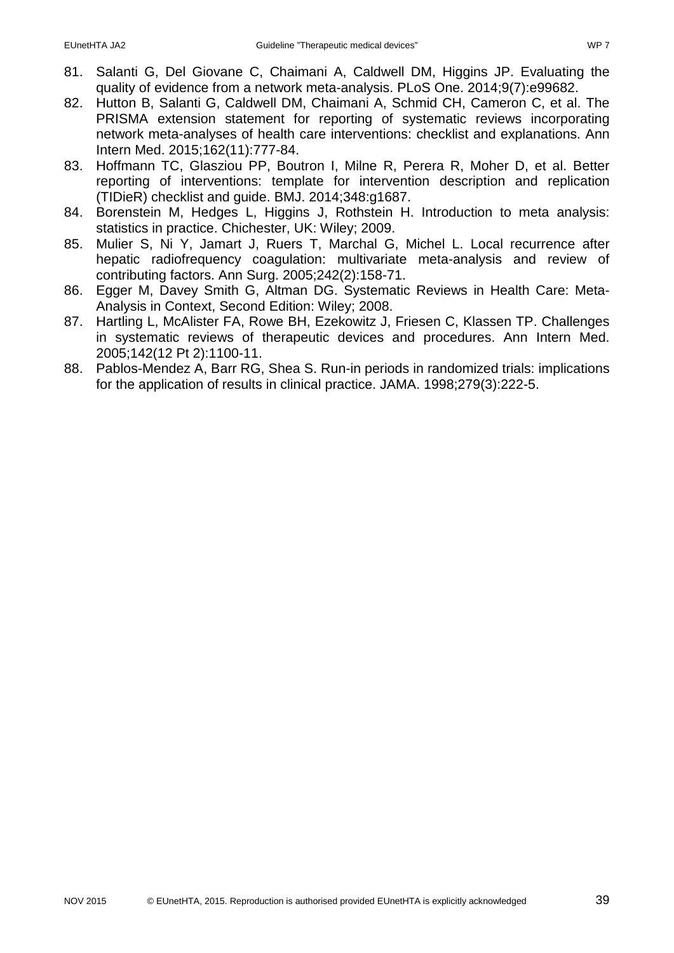- 81. Salanti G, Del Giovane C, Chaimani A, Caldwell DM, Higgins JP. Evaluating the quality of evidence from a network meta-analysis. PLoS One. 2014;9(7):e99682.
- 82. Hutton B, Salanti G, Caldwell DM, Chaimani A, Schmid CH, Cameron C, et al. The PRISMA extension statement for reporting of systematic reviews incorporating network meta-analyses of health care interventions: checklist and explanations. Ann Intern Med. 2015;162(11):777-84.
- 83. Hoffmann TC, Glasziou PP, Boutron I, Milne R, Perera R, Moher D, et al. Better reporting of interventions: template for intervention description and replication (TIDieR) checklist and guide. BMJ. 2014;348:g1687.
- 84. Borenstein M, Hedges L, Higgins J, Rothstein H. Introduction to meta analysis: statistics in practice. Chichester, UK: Wiley; 2009.
- 85. Mulier S, Ni Y, Jamart J, Ruers T, Marchal G, Michel L. Local recurrence after hepatic radiofrequency coagulation: multivariate meta-analysis and review of contributing factors. Ann Surg. 2005;242(2):158-71.
- 86. Egger M, Davey Smith G, Altman DG. Systematic Reviews in Health Care: Meta-Analysis in Context, Second Edition: Wiley; 2008.
- 87. Hartling L, McAlister FA, Rowe BH, Ezekowitz J, Friesen C, Klassen TP. Challenges in systematic reviews of therapeutic devices and procedures. Ann Intern Med. 2005;142(12 Pt 2):1100-11.
- 88. Pablos-Mendez A, Barr RG, Shea S. Run-in periods in randomized trials: implications for the application of results in clinical practice. JAMA. 1998;279(3):222-5.